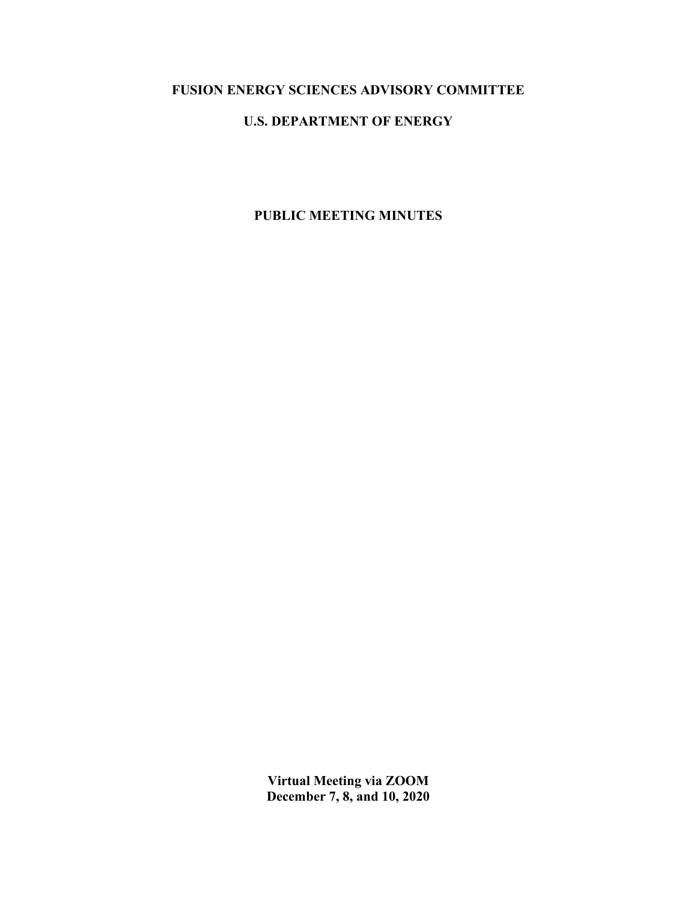# **FUSION ENERGY SCIENCES ADVISORY COMMITTEE**

## **U.S. DEPARTMENT OF ENERGY**

## **PUBLIC MEETING MINUTES**

**Virtual Meeting via ZOOM December 7, 8, and 10, 2020**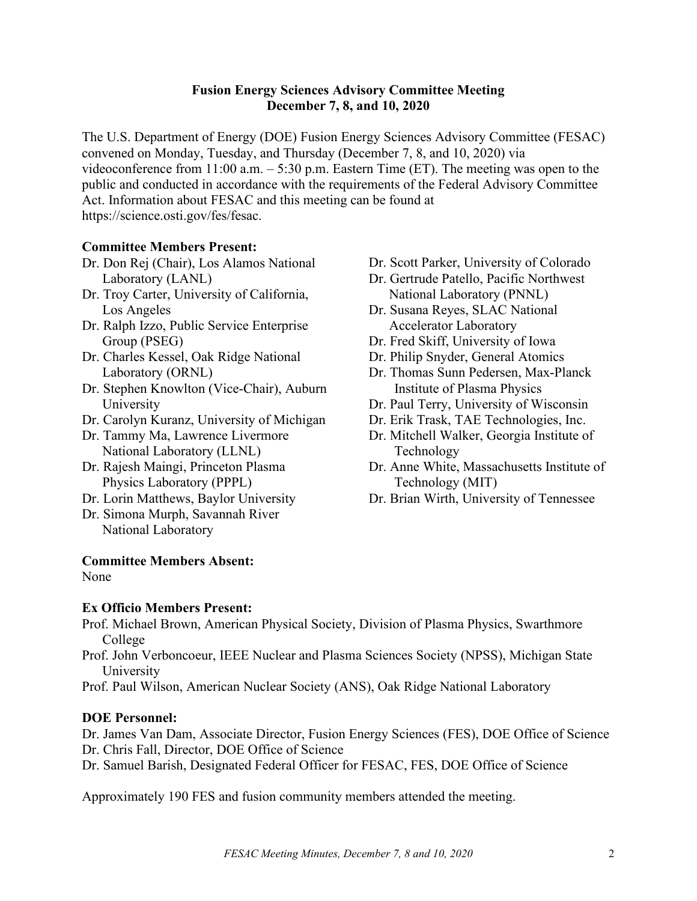## **Fusion Energy Sciences Advisory Committee Meeting December 7, 8, and 10, 2020**

The U.S. Department of Energy (DOE) Fusion Energy Sciences Advisory Committee (FESAC) convened on Monday, Tuesday, and Thursday (December 7, 8, and 10, 2020) via videoconference from 11:00 a.m. – 5:30 p.m. Eastern Time (ET). The meeting was open to the public and conducted in accordance with the requirements of the Federal Advisory Committee Act. Information about FESAC and this meeting can be found at [https://science.osti.gov/fes/fesac.](https://science.osti.gov/fes/fesac)

## **Committee Members Present:**

- Dr. Don Rej (Chair), Los Alamos National Laboratory (LANL)
- Dr. Troy Carter, University of California, Los Angeles
- Dr. Ralph Izzo, Public Service Enterprise Group (PSEG)
- Dr. Charles Kessel, Oak Ridge National Laboratory (ORNL)
- Dr. Stephen Knowlton (Vice-Chair), Auburn University
- Dr. Carolyn Kuranz, University of Michigan
- Dr. Tammy Ma, Lawrence Livermore National Laboratory (LLNL)
- Dr. Rajesh Maingi, Princeton Plasma Physics Laboratory (PPPL)
- Dr. Lorin Matthews, Baylor University
- Dr. Simona Murph, Savannah River National Laboratory

**Committee Members Absent:** 

None

## **Ex Officio Members Present:**

Dr. Scott Parker, University of Colorado

- Dr. Gertrude Patello, Pacific Northwest National Laboratory (PNNL)
- Dr. Susana Reyes, SLAC National Accelerator Laboratory
- Dr. Fred Skiff, University of Iowa
- Dr. Philip Snyder, General Atomics
- Dr. Thomas Sunn Pedersen, Max-Planck Institute of Plasma Physics
- Dr. Paul Terry, University of Wisconsin
- Dr. Erik Trask, TAE Technologies, Inc.
- Dr. Mitchell Walker, Georgia Institute of Technology
- Dr. Anne White, Massachusetts Institute of Technology (MIT)
- Dr. Brian Wirth, University of Tennessee

- Prof. Michael Brown, American Physical Society, Division of Plasma Physics, Swarthmore College
- Prof. John Verboncoeur, IEEE Nuclear and Plasma Sciences Society (NPSS), Michigan State University
- Prof. Paul Wilson, American Nuclear Society (ANS), Oak Ridge National Laboratory

## **DOE Personnel:**

Dr. James Van Dam, Associate Director, Fusion Energy Sciences (FES), DOE Office of Science Dr. Chris Fall, Director, DOE Office of Science

Dr. Samuel Barish, Designated Federal Officer for FESAC, FES, DOE Office of Science

Approximately 190 FES and fusion community members attended the meeting.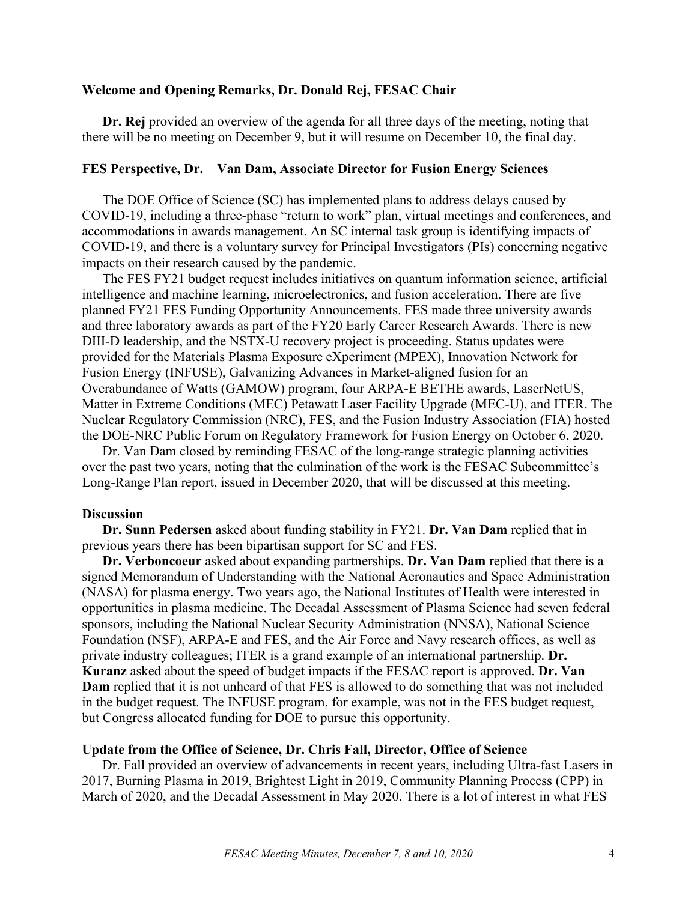## **Welcome and Opening Remarks, Dr. Donald Rej, FESAC Chair**

**Dr. Rej** provided an overview of the agenda for all three days of the meeting, noting that there will be no meeting on December 9, but it will resume on December 10, the final day.

#### **FES Perspective, Dr. Van Dam, Associate Director for Fusion Energy Sciences**

The DOE Office of Science (SC) has implemented plans to address delays caused by COVID-19, including a three-phase "return to work" plan, virtual meetings and conferences, and accommodations in awards management. An SC internal task group is identifying impacts of COVID-19, and there is a voluntary survey for Principal Investigators (PIs) concerning negative impacts on their research caused by the pandemic.

The FES FY21 budget request includes initiatives on quantum information science, artificial intelligence and machine learning, microelectronics, and fusion acceleration. There are five planned FY21 FES Funding Opportunity Announcements. FES made three university awards and three laboratory awards as part of the FY20 Early Career Research Awards. There is new DIII-D leadership, and the NSTX-U recovery project is proceeding. Status updates were provided for the Materials Plasma Exposure eXperiment (MPEX), Innovation Network for Fusion Energy (INFUSE), Galvanizing Advances in Market-aligned fusion for an Overabundance of Watts (GAMOW) program, four ARPA-E BETHE awards, LaserNetUS, Matter in Extreme Conditions (MEC) Petawatt Laser Facility Upgrade (MEC-U), and ITER. The Nuclear Regulatory Commission (NRC), FES, and the Fusion Industry Association (FIA) hosted the DOE-NRC Public Forum on Regulatory Framework for Fusion Energy on October 6, 2020.

Dr. Van Dam closed by reminding FESAC of the long-range strategic planning activities over the past two years, noting that the culmination of the work is the FESAC Subcommittee's Long-Range Plan report, issued in December 2020, that will be discussed at this meeting.

#### **Discussion**

**Dr. Sunn Pedersen** asked about funding stability in FY21. **Dr. Van Dam** replied that in previous years there has been bipartisan support for SC and FES.

**Dr. Verboncoeur** asked about expanding partnerships. **Dr. Van Dam** replied that there is a signed Memorandum of Understanding with the National Aeronautics and Space Administration (NASA) for plasma energy. Two years ago, the National Institutes of Health were interested in opportunities in plasma medicine. The Decadal Assessment of Plasma Science had seven federal sponsors, including the National Nuclear Security Administration (NNSA), National Science Foundation (NSF), ARPA-E and FES, and the Air Force and Navy research offices, as well as private industry colleagues; ITER is a grand example of an international partnership. **Dr. Kuranz** asked about the speed of budget impacts if the FESAC report is approved. **Dr. Van Dam** replied that it is not unheard of that FES is allowed to do something that was not included in the budget request. The INFUSE program, for example, was not in the FES budget request, but Congress allocated funding for DOE to pursue this opportunity.

#### **Update from the Office of Science, Dr. Chris Fall, Director, Office of Science**

Dr. Fall provided an overview of advancements in recent years, including Ultra-fast Lasers in 2017, Burning Plasma in 2019, Brightest Light in 2019, Community Planning Process (CPP) in March of 2020, and the Decadal Assessment in May 2020. There is a lot of interest in what FES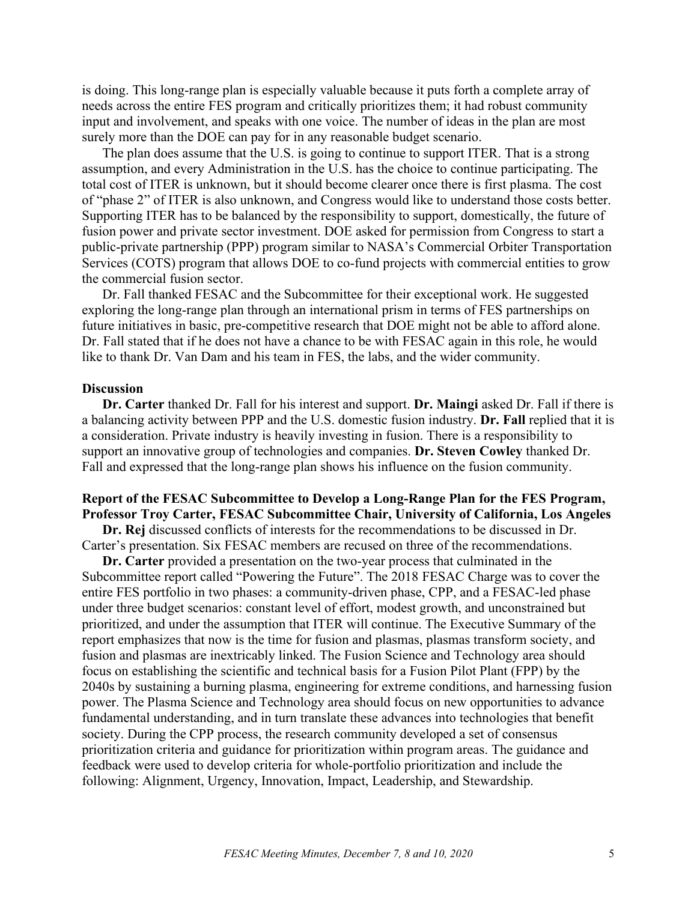is doing. This long-range plan is especially valuable because it puts forth a complete array of needs across the entire FES program and critically prioritizes them; it had robust community input and involvement, and speaks with one voice. The number of ideas in the plan are most surely more than the DOE can pay for in any reasonable budget scenario.

The plan does assume that the U.S. is going to continue to support ITER. That is a strong assumption, and every Administration in the U.S. has the choice to continue participating. The total cost of ITER is unknown, but it should become clearer once there is first plasma. The cost of "phase 2" of ITER is also unknown, and Congress would like to understand those costs better. Supporting ITER has to be balanced by the responsibility to support, domestically, the future of fusion power and private sector investment. DOE asked for permission from Congress to start a public-private partnership (PPP) program similar to NASA's Commercial Orbiter Transportation Services (COTS) program that allows DOE to co-fund projects with commercial entities to grow the commercial fusion sector.

Dr. Fall thanked FESAC and the Subcommittee for their exceptional work. He suggested exploring the long-range plan through an international prism in terms of FES partnerships on future initiatives in basic, pre-competitive research that DOE might not be able to afford alone. Dr. Fall stated that if he does not have a chance to be with FESAC again in this role, he would like to thank Dr. Van Dam and his team in FES, the labs, and the wider community.

#### **Discussion**

**Dr. Carter** thanked Dr. Fall for his interest and support. **Dr. Maingi** asked Dr. Fall if there is a balancing activity between PPP and the U.S. domestic fusion industry. **Dr. Fall** replied that it is a consideration. Private industry is heavily investing in fusion. There is a responsibility to support an innovative group of technologies and companies. **Dr. Steven Cowley** thanked Dr. Fall and expressed that the long-range plan shows his influence on the fusion community.

### **Report of the FESAC Subcommittee to Develop a Long-Range Plan for the FES Program, Professor Troy Carter, FESAC Subcommittee Chair, University of California, Los Angeles**

**Dr. Rej** discussed conflicts of interests for the recommendations to be discussed in Dr. Carter's presentation. Six FESAC members are recused on three of the recommendations.

**Dr. Carter** provided a presentation on the two-year process that culminated in the Subcommittee report called "Powering the Future". The 2018 FESAC Charge was to cover the entire FES portfolio in two phases: a community-driven phase, CPP, and a FESAC-led phase under three budget scenarios: constant level of effort, modest growth, and unconstrained but prioritized, and under the assumption that ITER will continue. The Executive Summary of the report emphasizes that now is the time for fusion and plasmas, plasmas transform society, and fusion and plasmas are inextricably linked. The Fusion Science and Technology area should focus on establishing the scientific and technical basis for a Fusion Pilot Plant (FPP) by the 2040s by sustaining a burning plasma, engineering for extreme conditions, and harnessing fusion power. The Plasma Science and Technology area should focus on new opportunities to advance fundamental understanding, and in turn translate these advances into technologies that benefit society. During the CPP process, the research community developed a set of consensus prioritization criteria and guidance for prioritization within program areas. The guidance and feedback were used to develop criteria for whole-portfolio prioritization and include the following: Alignment, Urgency, Innovation, Impact, Leadership, and Stewardship.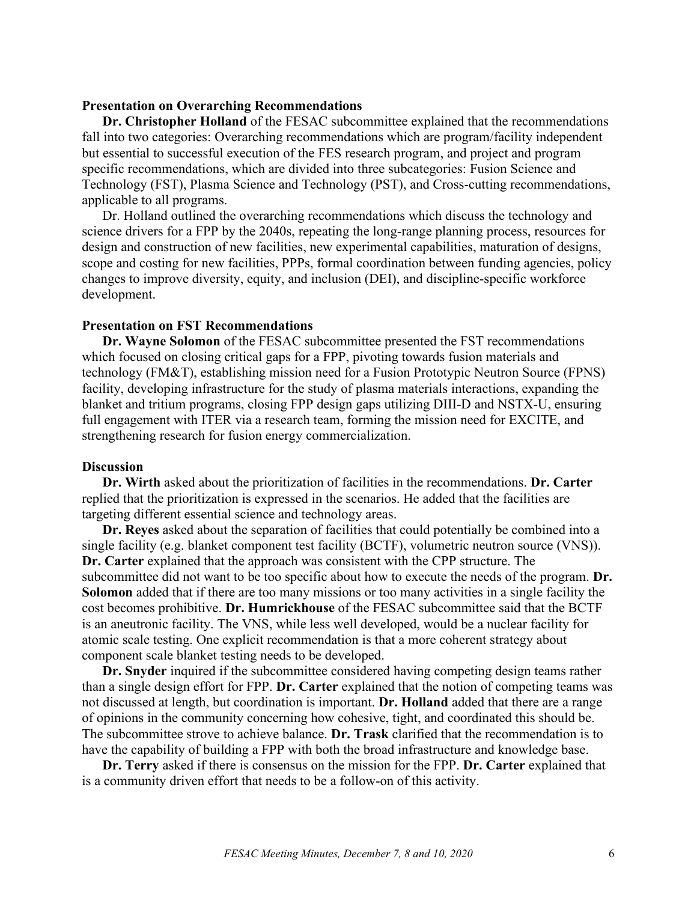#### **Presentation on Overarching Recommendations**

**Dr. Christopher Holland** of the FESAC subcommittee explained that the recommendations fall into two categories: Overarching recommendations which are program/facility independent but essential to successful execution of the FES research program, and project and program specific recommendations, which are divided into three subcategories: Fusion Science and Technology (FST), Plasma Science and Technology (PST), and Cross-cutting recommendations, applicable to all programs.

Dr. Holland outlined the overarching recommendations which discuss the technology and science drivers for a FPP by the 2040s, repeating the long-range planning process, resources for design and construction of new facilities, new experimental capabilities, maturation of designs, scope and costing for new facilities, PPPs, formal coordination between funding agencies, policy changes to improve diversity, equity, and inclusion (DEI), and discipline-specific workforce development.

## **Presentation on FST Recommendations**

**Dr. Wayne Solomon** of the FESAC subcommittee presented the FST recommendations which focused on closing critical gaps for a FPP, pivoting towards fusion materials and technology (FM&T), establishing mission need for a Fusion Prototypic Neutron Source (FPNS) facility, developing infrastructure for the study of plasma materials interactions, expanding the blanket and tritium programs, closing FPP design gaps utilizing DIII-D and NSTX-U, ensuring full engagement with ITER via a research team, forming the mission need for EXCITE, and strengthening research for fusion energy commercialization.

#### **Discussion**

**Dr. Wirth** asked about the prioritization of facilities in the recommendations. **Dr. Carter** replied that the prioritization is expressed in the scenarios. He added that the facilities are targeting different essential science and technology areas.

**Dr. Reyes** asked about the separation of facilities that could potentially be combined into a single facility (e.g. blanket component test facility (BCTF), volumetric neutron source (VNS)). **Dr. Carter** explained that the approach was consistent with the CPP structure. The subcommittee did not want to be too specific about how to execute the needs of the program. **Dr. Solomon** added that if there are too many missions or too many activities in a single facility the cost becomes prohibitive. **Dr. Humrickhouse** of the FESAC subcommittee said that the BCTF is an aneutronic facility. The VNS, while less well developed, would be a nuclear facility for atomic scale testing. One explicit recommendation is that a more coherent strategy about component scale blanket testing needs to be developed.

**Dr. Snyder** inquired if the subcommittee considered having competing design teams rather than a single design effort for FPP. **Dr. Carter** explained that the notion of competing teams was not discussed at length, but coordination is important. **Dr. Holland** added that there are a range of opinions in the community concerning how cohesive, tight, and coordinated this should be. The subcommittee strove to achieve balance. **Dr. Trask** clarified that the recommendation is to have the capability of building a FPP with both the broad infrastructure and knowledge base.

**Dr. Terry** asked if there is consensus on the mission for the FPP. **Dr. Carter** explained that is a community driven effort that needs to be a follow-on of this activity.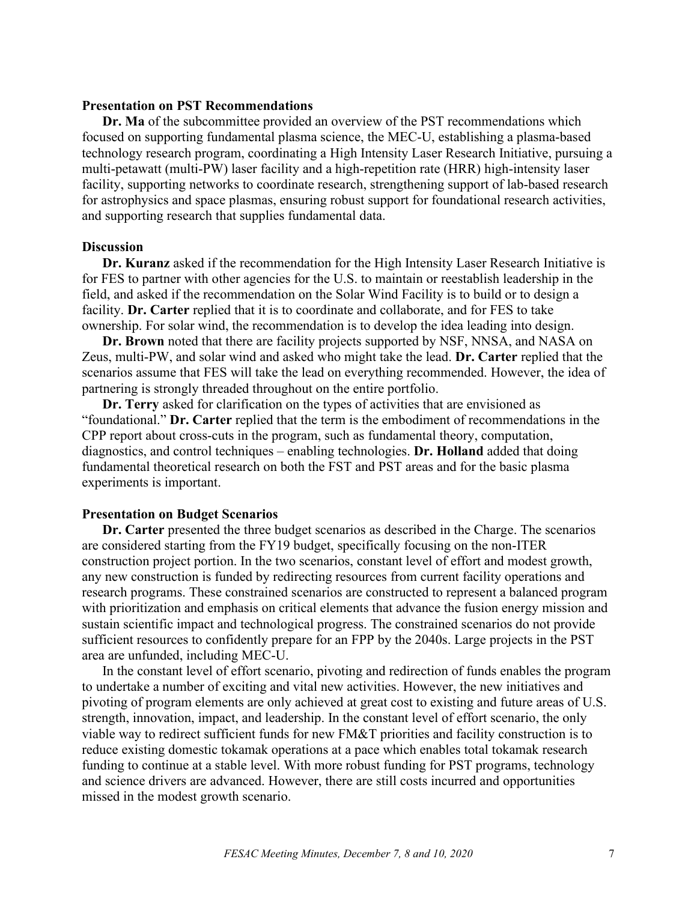#### **Presentation on PST Recommendations**

**Dr. Ma** of the subcommittee provided an overview of the PST recommendations which focused on supporting fundamental plasma science, the MEC-U, establishing a plasma-based technology research program, coordinating a High Intensity Laser Research Initiative, pursuing a multi-petawatt (multi-PW) laser facility and a high-repetition rate (HRR) high-intensity laser facility, supporting networks to coordinate research, strengthening support of lab-based research for astrophysics and space plasmas, ensuring robust support for foundational research activities, and supporting research that supplies fundamental data.

#### **Discussion**

**Dr. Kuranz** asked if the recommendation for the High Intensity Laser Research Initiative is for FES to partner with other agencies for the U.S. to maintain or reestablish leadership in the field, and asked if the recommendation on the Solar Wind Facility is to build or to design a facility. **Dr. Carter** replied that it is to coordinate and collaborate, and for FES to take ownership. For solar wind, the recommendation is to develop the idea leading into design.

**Dr. Brown** noted that there are facility projects supported by NSF, NNSA, and NASA on Zeus, multi-PW, and solar wind and asked who might take the lead. **Dr. Carter** replied that the scenarios assume that FES will take the lead on everything recommended. However, the idea of partnering is strongly threaded throughout on the entire portfolio.

**Dr. Terry** asked for clarification on the types of activities that are envisioned as "foundational." **Dr. Carter** replied that the term is the embodiment of recommendations in the CPP report about cross-cuts in the program, such as fundamental theory, computation, diagnostics, and control techniques – enabling technologies. **Dr. Holland** added that doing fundamental theoretical research on both the FST and PST areas and for the basic plasma experiments is important.

#### **Presentation on Budget Scenarios**

**Dr. Carter** presented the three budget scenarios as described in the Charge. The scenarios are considered starting from the FY19 budget, specifically focusing on the non-ITER construction project portion. In the two scenarios, constant level of effort and modest growth, any new construction is funded by redirecting resources from current facility operations and research programs. These constrained scenarios are constructed to represent a balanced program with prioritization and emphasis on critical elements that advance the fusion energy mission and sustain scientific impact and technological progress. The constrained scenarios do not provide sufficient resources to confidently prepare for an FPP by the 2040s. Large projects in the PST area are unfunded, including MEC-U.

In the constant level of effort scenario, pivoting and redirection of funds enables the program to undertake a number of exciting and vital new activities. However, the new initiatives and pivoting of program elements are only achieved at great cost to existing and future areas of U.S. strength, innovation, impact, and leadership. In the constant level of effort scenario, the only viable way to redirect sufficient funds for new FM&T priorities and facility construction is to reduce existing domestic tokamak operations at a pace which enables total tokamak research funding to continue at a stable level. With more robust funding for PST programs, technology and science drivers are advanced. However, there are still costs incurred and opportunities missed in the modest growth scenario.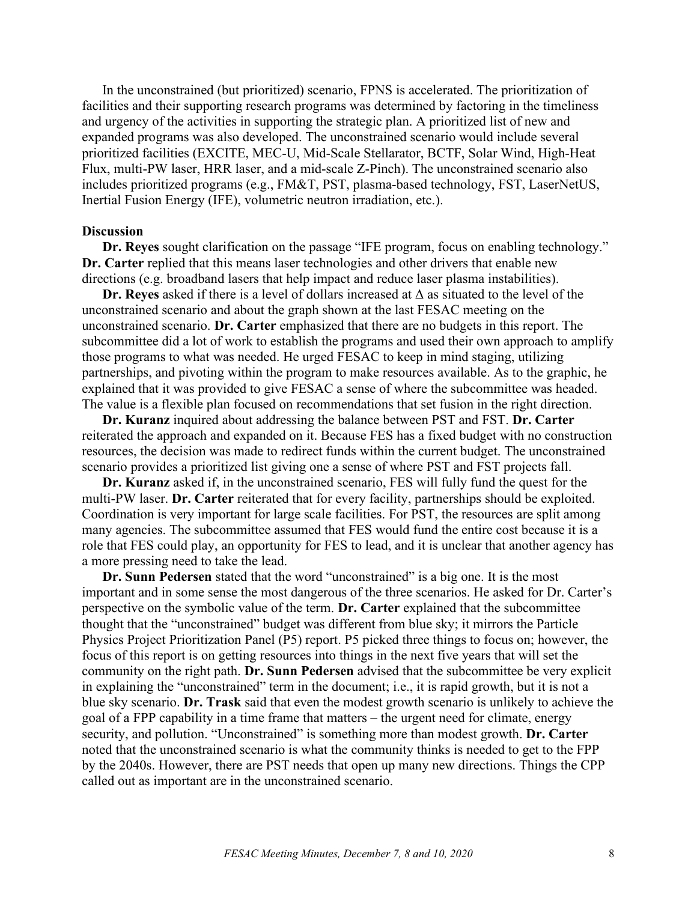In the unconstrained (but prioritized) scenario, FPNS is accelerated. The prioritization of facilities and their supporting research programs was determined by factoring in the timeliness and urgency of the activities in supporting the strategic plan. A prioritized list of new and expanded programs was also developed. The unconstrained scenario would include several prioritized facilities (EXCITE, MEC-U, Mid-Scale Stellarator, BCTF, Solar Wind, High-Heat Flux, multi-PW laser, HRR laser, and a mid-scale Z-Pinch). The unconstrained scenario also includes prioritized programs (e.g., FM&T, PST, plasma-based technology, FST, LaserNetUS, Inertial Fusion Energy (IFE), volumetric neutron irradiation, etc.).

#### **Discussion**

**Dr. Reyes** sought clarification on the passage "IFE program, focus on enabling technology." **Dr. Carter** replied that this means laser technologies and other drivers that enable new directions (e.g. broadband lasers that help impact and reduce laser plasma instabilities).

**Dr. Reyes** asked if there is a level of dollars increased at Δ as situated to the level of the unconstrained scenario and about the graph shown at the last FESAC meeting on the unconstrained scenario. **Dr. Carter** emphasized that there are no budgets in this report. The subcommittee did a lot of work to establish the programs and used their own approach to amplify those programs to what was needed. He urged FESAC to keep in mind staging, utilizing partnerships, and pivoting within the program to make resources available. As to the graphic, he explained that it was provided to give FESAC a sense of where the subcommittee was headed. The value is a flexible plan focused on recommendations that set fusion in the right direction.

**Dr. Kuranz** inquired about addressing the balance between PST and FST. **Dr. Carter** reiterated the approach and expanded on it. Because FES has a fixed budget with no construction resources, the decision was made to redirect funds within the current budget. The unconstrained scenario provides a prioritized list giving one a sense of where PST and FST projects fall.

**Dr. Kuranz** asked if, in the unconstrained scenario, FES will fully fund the quest for the multi-PW laser. **Dr. Carter** reiterated that for every facility, partnerships should be exploited. Coordination is very important for large scale facilities. For PST, the resources are split among many agencies. The subcommittee assumed that FES would fund the entire cost because it is a role that FES could play, an opportunity for FES to lead, and it is unclear that another agency has a more pressing need to take the lead.

**Dr. Sunn Pedersen** stated that the word "unconstrained" is a big one. It is the most important and in some sense the most dangerous of the three scenarios. He asked for Dr. Carter's perspective on the symbolic value of the term. **Dr. Carter** explained that the subcommittee thought that the "unconstrained" budget was different from blue sky; it mirrors the Particle Physics Project Prioritization Panel (P5) report. P5 picked three things to focus on; however, the focus of this report is on getting resources into things in the next five years that will set the community on the right path. **Dr. Sunn Pedersen** advised that the subcommittee be very explicit in explaining the "unconstrained" term in the document; i.e., it is rapid growth, but it is not a blue sky scenario. **Dr. Trask** said that even the modest growth scenario is unlikely to achieve the goal of a FPP capability in a time frame that matters – the urgent need for climate, energy security, and pollution. "Unconstrained" is something more than modest growth. **Dr. Carter** noted that the unconstrained scenario is what the community thinks is needed to get to the FPP by the 2040s. However, there are PST needs that open up many new directions. Things the CPP called out as important are in the unconstrained scenario.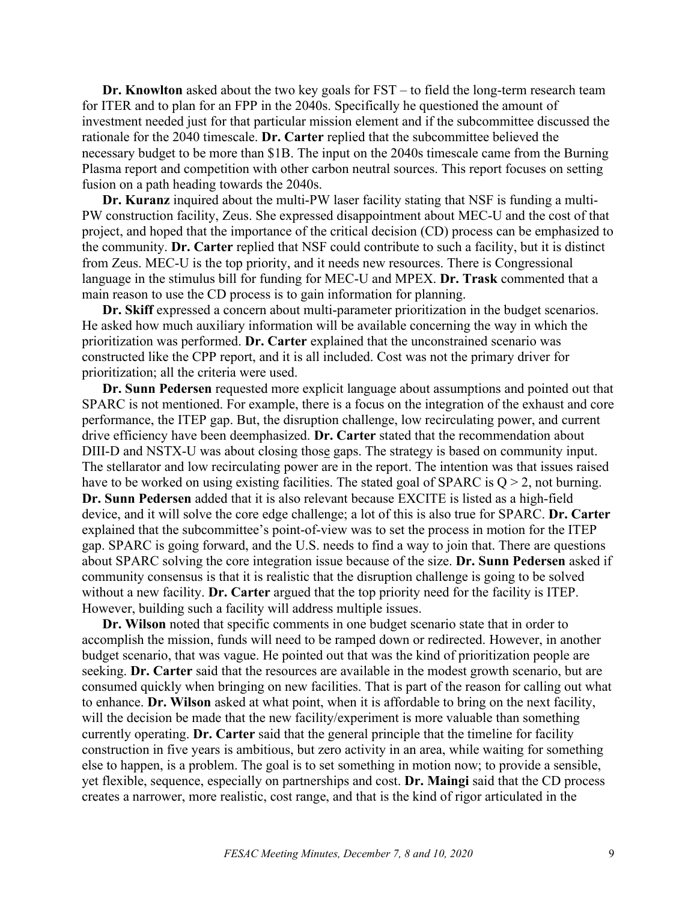**Dr. Knowlton** asked about the two key goals for FST – to field the long-term research team for ITER and to plan for an FPP in the 2040s. Specifically he questioned the amount of investment needed just for that particular mission element and if the subcommittee discussed the rationale for the 2040 timescale. **Dr. Carter** replied that the subcommittee believed the necessary budget to be more than \$1B. The input on the 2040s timescale came from the Burning Plasma report and competition with other carbon neutral sources. This report focuses on setting fusion on a path heading towards the 2040s.

**Dr. Kuranz** inquired about the multi-PW laser facility stating that NSF is funding a multi-PW construction facility, Zeus. She expressed disappointment about MEC-U and the cost of that project, and hoped that the importance of the critical decision (CD) process can be emphasized to the community. **Dr. Carter** replied that NSF could contribute to such a facility, but it is distinct from Zeus. MEC-U is the top priority, and it needs new resources. There is Congressional language in the stimulus bill for funding for MEC-U and MPEX. **Dr. Trask** commented that a main reason to use the CD process is to gain information for planning.

**Dr. Skiff** expressed a concern about multi-parameter prioritization in the budget scenarios. He asked how much auxiliary information will be available concerning the way in which the prioritization was performed. **Dr. Carter** explained that the unconstrained scenario was constructed like the CPP report, and it is all included. Cost was not the primary driver for prioritization; all the criteria were used.

**Dr. Sunn Pedersen** requested more explicit language about assumptions and pointed out that SPARC is not mentioned. For example, there is a focus on the integration of the exhaust and core performance, the ITEP gap. But, the disruption challenge, low recirculating power, and current drive efficiency have been deemphasized. **Dr. Carter** stated that the recommendation about DIII-D and NSTX-U was about closing those gaps. The strategy is based on community input. The stellarator and low recirculating power are in the report. The intention was that issues raised have to be worked on using existing facilities. The stated goal of SPARC is  $Q > 2$ , not burning. **Dr. Sunn Pedersen** added that it is also relevant because EXCITE is listed as a high-field device, and it will solve the core edge challenge; a lot of this is also true for SPARC. **Dr. Carter** explained that the subcommittee's point-of-view was to set the process in motion for the ITEP gap. SPARC is going forward, and the U.S. needs to find a way to join that. There are questions about SPARC solving the core integration issue because of the size. **Dr. Sunn Pedersen** asked if community consensus is that it is realistic that the disruption challenge is going to be solved without a new facility. **Dr. Carter** argued that the top priority need for the facility is ITEP. However, building such a facility will address multiple issues.

**Dr. Wilson** noted that specific comments in one budget scenario state that in order to accomplish the mission, funds will need to be ramped down or redirected. However, in another budget scenario, that was vague. He pointed out that was the kind of prioritization people are seeking. **Dr. Carter** said that the resources are available in the modest growth scenario, but are consumed quickly when bringing on new facilities. That is part of the reason for calling out what to enhance. **Dr. Wilson** asked at what point, when it is affordable to bring on the next facility, will the decision be made that the new facility/experiment is more valuable than something currently operating. **Dr. Carter** said that the general principle that the timeline for facility construction in five years is ambitious, but zero activity in an area, while waiting for something else to happen, is a problem. The goal is to set something in motion now; to provide a sensible, yet flexible, sequence, especially on partnerships and cost. **Dr. Maingi** said that the CD process creates a narrower, more realistic, cost range, and that is the kind of rigor articulated in the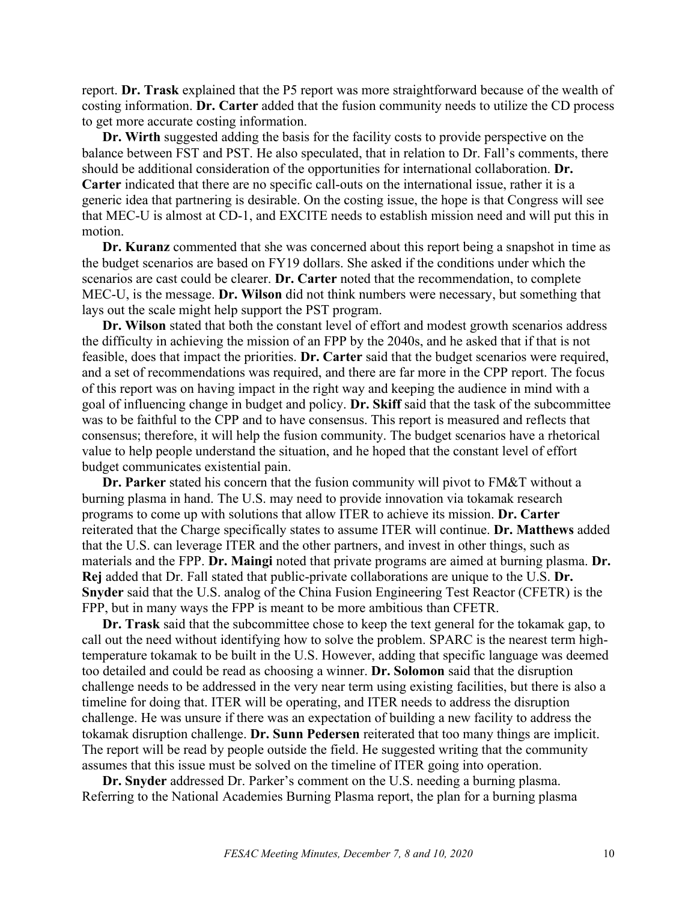report. **Dr. Trask** explained that the P5 report was more straightforward because of the wealth of costing information. **Dr. Carter** added that the fusion community needs to utilize the CD process to get more accurate costing information.

**Dr. Wirth** suggested adding the basis for the facility costs to provide perspective on the balance between FST and PST. He also speculated, that in relation to Dr. Fall's comments, there should be additional consideration of the opportunities for international collaboration. **Dr. Carter** indicated that there are no specific call-outs on the international issue, rather it is a generic idea that partnering is desirable. On the costing issue, the hope is that Congress will see that MEC-U is almost at CD-1, and EXCITE needs to establish mission need and will put this in motion.

**Dr. Kuranz** commented that she was concerned about this report being a snapshot in time as the budget scenarios are based on FY19 dollars. She asked if the conditions under which the scenarios are cast could be clearer. **Dr. Carter** noted that the recommendation, to complete MEC-U, is the message. **Dr. Wilson** did not think numbers were necessary, but something that lays out the scale might help support the PST program.

**Dr. Wilson** stated that both the constant level of effort and modest growth scenarios address the difficulty in achieving the mission of an FPP by the 2040s, and he asked that if that is not feasible, does that impact the priorities. **Dr. Carter** said that the budget scenarios were required, and a set of recommendations was required, and there are far more in the CPP report. The focus of this report was on having impact in the right way and keeping the audience in mind with a goal of influencing change in budget and policy. **Dr. Skiff** said that the task of the subcommittee was to be faithful to the CPP and to have consensus. This report is measured and reflects that consensus; therefore, it will help the fusion community. The budget scenarios have a rhetorical value to help people understand the situation, and he hoped that the constant level of effort budget communicates existential pain.

**Dr. Parker** stated his concern that the fusion community will pivot to FM&T without a burning plasma in hand. The U.S. may need to provide innovation via tokamak research programs to come up with solutions that allow ITER to achieve its mission. **Dr. Carter** reiterated that the Charge specifically states to assume ITER will continue. **Dr. Matthews** added that the U.S. can leverage ITER and the other partners, and invest in other things, such as materials and the FPP. **Dr. Maingi** noted that private programs are aimed at burning plasma. **Dr. Rej** added that Dr. Fall stated that public-private collaborations are unique to the U.S. **Dr. Snyder** said that the U.S. analog of the China Fusion Engineering Test Reactor (CFETR) is the FPP, but in many ways the FPP is meant to be more ambitious than CFETR.

**Dr. Trask** said that the subcommittee chose to keep the text general for the tokamak gap, to call out the need without identifying how to solve the problem. SPARC is the nearest term hightemperature tokamak to be built in the U.S. However, adding that specific language was deemed too detailed and could be read as choosing a winner. **Dr. Solomon** said that the disruption challenge needs to be addressed in the very near term using existing facilities, but there is also a timeline for doing that. ITER will be operating, and ITER needs to address the disruption challenge. He was unsure if there was an expectation of building a new facility to address the tokamak disruption challenge. **Dr. Sunn Pedersen** reiterated that too many things are implicit. The report will be read by people outside the field. He suggested writing that the community assumes that this issue must be solved on the timeline of ITER going into operation.

**Dr. Snyder** addressed Dr. Parker's comment on the U.S. needing a burning plasma. Referring to the National Academies Burning Plasma report, the plan for a burning plasma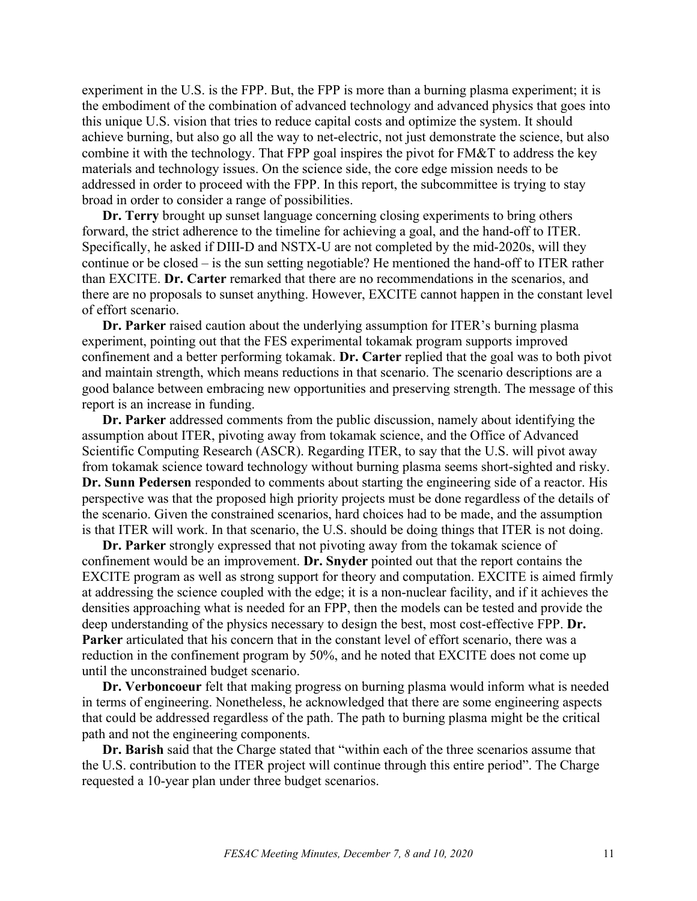experiment in the U.S. is the FPP. But, the FPP is more than a burning plasma experiment; it is the embodiment of the combination of advanced technology and advanced physics that goes into this unique U.S. vision that tries to reduce capital costs and optimize the system. It should achieve burning, but also go all the way to net-electric, not just demonstrate the science, but also combine it with the technology. That FPP goal inspires the pivot for FM&T to address the key materials and technology issues. On the science side, the core edge mission needs to be addressed in order to proceed with the FPP. In this report, the subcommittee is trying to stay broad in order to consider a range of possibilities.

**Dr. Terry** brought up sunset language concerning closing experiments to bring others forward, the strict adherence to the timeline for achieving a goal, and the hand-off to ITER. Specifically, he asked if DIII-D and NSTX-U are not completed by the mid-2020s, will they continue or be closed – is the sun setting negotiable? He mentioned the hand-off to ITER rather than EXCITE. **Dr. Carter** remarked that there are no recommendations in the scenarios, and there are no proposals to sunset anything. However, EXCITE cannot happen in the constant level of effort scenario.

**Dr. Parker** raised caution about the underlying assumption for ITER's burning plasma experiment, pointing out that the FES experimental tokamak program supports improved confinement and a better performing tokamak. **Dr. Carter** replied that the goal was to both pivot and maintain strength, which means reductions in that scenario. The scenario descriptions are a good balance between embracing new opportunities and preserving strength. The message of this report is an increase in funding.

**Dr. Parker** addressed comments from the public discussion, namely about identifying the assumption about ITER, pivoting away from tokamak science, and the Office of Advanced Scientific Computing Research (ASCR). Regarding ITER, to say that the U.S. will pivot away from tokamak science toward technology without burning plasma seems short-sighted and risky. **Dr. Sunn Pedersen** responded to comments about starting the engineering side of a reactor. His perspective was that the proposed high priority projects must be done regardless of the details of the scenario. Given the constrained scenarios, hard choices had to be made, and the assumption is that ITER will work. In that scenario, the U.S. should be doing things that ITER is not doing.

**Dr. Parker** strongly expressed that not pivoting away from the tokamak science of confinement would be an improvement. **Dr. Snyder** pointed out that the report contains the EXCITE program as well as strong support for theory and computation. EXCITE is aimed firmly at addressing the science coupled with the edge; it is a non-nuclear facility, and if it achieves the densities approaching what is needed for an FPP, then the models can be tested and provide the deep understanding of the physics necessary to design the best, most cost-effective FPP. **Dr. Parker** articulated that his concern that in the constant level of effort scenario, there was a reduction in the confinement program by 50%, and he noted that EXCITE does not come up until the unconstrained budget scenario.

**Dr. Verboncoeur** felt that making progress on burning plasma would inform what is needed in terms of engineering. Nonetheless, he acknowledged that there are some engineering aspects that could be addressed regardless of the path. The path to burning plasma might be the critical path and not the engineering components.

**Dr. Barish** said that the Charge stated that "within each of the three scenarios assume that the U.S. contribution to the ITER project will continue through this entire period". The Charge requested a 10-year plan under three budget scenarios.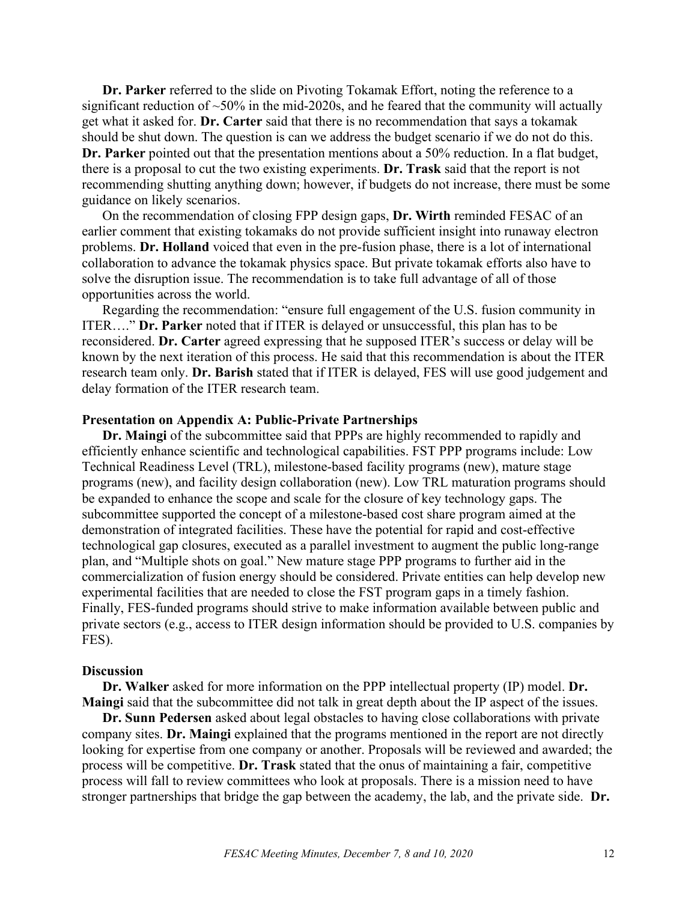**Dr. Parker** referred to the slide on Pivoting Tokamak Effort, noting the reference to a significant reduction of  $\sim$  50% in the mid-2020s, and he feared that the community will actually get what it asked for. **Dr. Carter** said that there is no recommendation that says a tokamak should be shut down. The question is can we address the budget scenario if we do not do this. **Dr. Parker** pointed out that the presentation mentions about a 50% reduction. In a flat budget, there is a proposal to cut the two existing experiments. **Dr. Trask** said that the report is not recommending shutting anything down; however, if budgets do not increase, there must be some guidance on likely scenarios.

On the recommendation of closing FPP design gaps, **Dr. Wirth** reminded FESAC of an earlier comment that existing tokamaks do not provide sufficient insight into runaway electron problems. **Dr. Holland** voiced that even in the pre-fusion phase, there is a lot of international collaboration to advance the tokamak physics space. But private tokamak efforts also have to solve the disruption issue. The recommendation is to take full advantage of all of those opportunities across the world.

Regarding the recommendation: "ensure full engagement of the U.S. fusion community in ITER…." **Dr. Parker** noted that if ITER is delayed or unsuccessful, this plan has to be reconsidered. **Dr. Carter** agreed expressing that he supposed ITER's success or delay will be known by the next iteration of this process. He said that this recommendation is about the ITER research team only. **Dr. Barish** stated that if ITER is delayed, FES will use good judgement and delay formation of the ITER research team.

#### **Presentation on Appendix A: Public-Private Partnerships**

**Dr. Maingi** of the subcommittee said that PPPs are highly recommended to rapidly and efficiently enhance scientific and technological capabilities. FST PPP programs include: Low Technical Readiness Level (TRL), milestone-based facility programs (new), mature stage programs (new), and facility design collaboration (new). Low TRL maturation programs should be expanded to enhance the scope and scale for the closure of key technology gaps. The subcommittee supported the concept of a milestone-based cost share program aimed at the demonstration of integrated facilities. These have the potential for rapid and cost-effective technological gap closures, executed as a parallel investment to augment the public long-range plan, and "Multiple shots on goal." New mature stage PPP programs to further aid in the commercialization of fusion energy should be considered. Private entities can help develop new experimental facilities that are needed to close the FST program gaps in a timely fashion. Finally, FES-funded programs should strive to make information available between public and private sectors (e.g., access to ITER design information should be provided to U.S. companies by FES).

#### **Discussion**

**Dr. Walker** asked for more information on the PPP intellectual property (IP) model. **Dr. Maingi** said that the subcommittee did not talk in great depth about the IP aspect of the issues.

**Dr. Sunn Pedersen** asked about legal obstacles to having close collaborations with private company sites. **Dr. Maingi** explained that the programs mentioned in the report are not directly looking for expertise from one company or another. Proposals will be reviewed and awarded; the process will be competitive. **Dr. Trask** stated that the onus of maintaining a fair, competitive process will fall to review committees who look at proposals. There is a mission need to have stronger partnerships that bridge the gap between the academy, the lab, and the private side. **Dr.**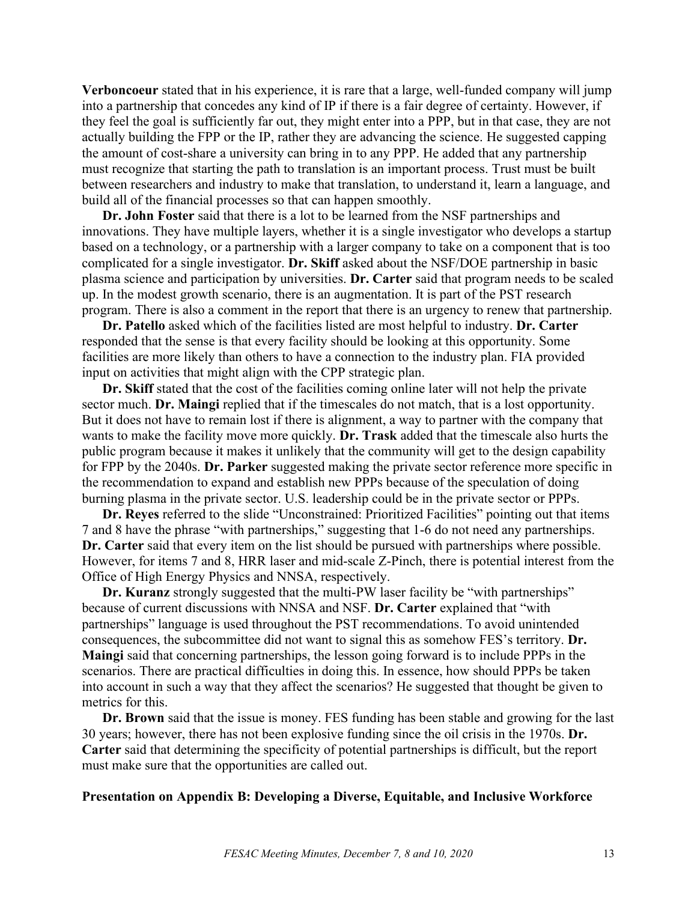**Verboncoeur** stated that in his experience, it is rare that a large, well-funded company will jump into a partnership that concedes any kind of IP if there is a fair degree of certainty. However, if they feel the goal is sufficiently far out, they might enter into a PPP, but in that case, they are not actually building the FPP or the IP, rather they are advancing the science. He suggested capping the amount of cost-share a university can bring in to any PPP. He added that any partnership must recognize that starting the path to translation is an important process. Trust must be built between researchers and industry to make that translation, to understand it, learn a language, and build all of the financial processes so that can happen smoothly.

**Dr. John Foster** said that there is a lot to be learned from the NSF partnerships and innovations. They have multiple layers, whether it is a single investigator who develops a startup based on a technology, or a partnership with a larger company to take on a component that is too complicated for a single investigator. **Dr. Skiff** asked about the NSF/DOE partnership in basic plasma science and participation by universities. **Dr. Carter** said that program needs to be scaled up. In the modest growth scenario, there is an augmentation. It is part of the PST research program. There is also a comment in the report that there is an urgency to renew that partnership.

**Dr. Patello** asked which of the facilities listed are most helpful to industry. **Dr. Carter** responded that the sense is that every facility should be looking at this opportunity. Some facilities are more likely than others to have a connection to the industry plan. FIA provided input on activities that might align with the CPP strategic plan.

**Dr. Skiff** stated that the cost of the facilities coming online later will not help the private sector much. **Dr. Maingi** replied that if the timescales do not match, that is a lost opportunity. But it does not have to remain lost if there is alignment, a way to partner with the company that wants to make the facility move more quickly. **Dr. Trask** added that the timescale also hurts the public program because it makes it unlikely that the community will get to the design capability for FPP by the 2040s. **Dr. Parker** suggested making the private sector reference more specific in the recommendation to expand and establish new PPPs because of the speculation of doing burning plasma in the private sector. U.S. leadership could be in the private sector or PPPs.

**Dr. Reyes** referred to the slide "Unconstrained: Prioritized Facilities" pointing out that items 7 and 8 have the phrase "with partnerships," suggesting that 1-6 do not need any partnerships. **Dr. Carter** said that every item on the list should be pursued with partnerships where possible. However, for items 7 and 8, HRR laser and mid-scale Z-Pinch, there is potential interest from the Office of High Energy Physics and NNSA, respectively.

**Dr. Kuranz** strongly suggested that the multi-PW laser facility be "with partnerships" because of current discussions with NNSA and NSF. **Dr. Carter** explained that "with partnerships" language is used throughout the PST recommendations. To avoid unintended consequences, the subcommittee did not want to signal this as somehow FES's territory. **Dr. Maingi** said that concerning partnerships, the lesson going forward is to include PPPs in the scenarios. There are practical difficulties in doing this. In essence, how should PPPs be taken into account in such a way that they affect the scenarios? He suggested that thought be given to metrics for this.

**Dr. Brown** said that the issue is money. FES funding has been stable and growing for the last 30 years; however, there has not been explosive funding since the oil crisis in the 1970s. **Dr. Carter** said that determining the specificity of potential partnerships is difficult, but the report must make sure that the opportunities are called out.

#### **Presentation on Appendix B: Developing a Diverse, Equitable, and Inclusive Workforce**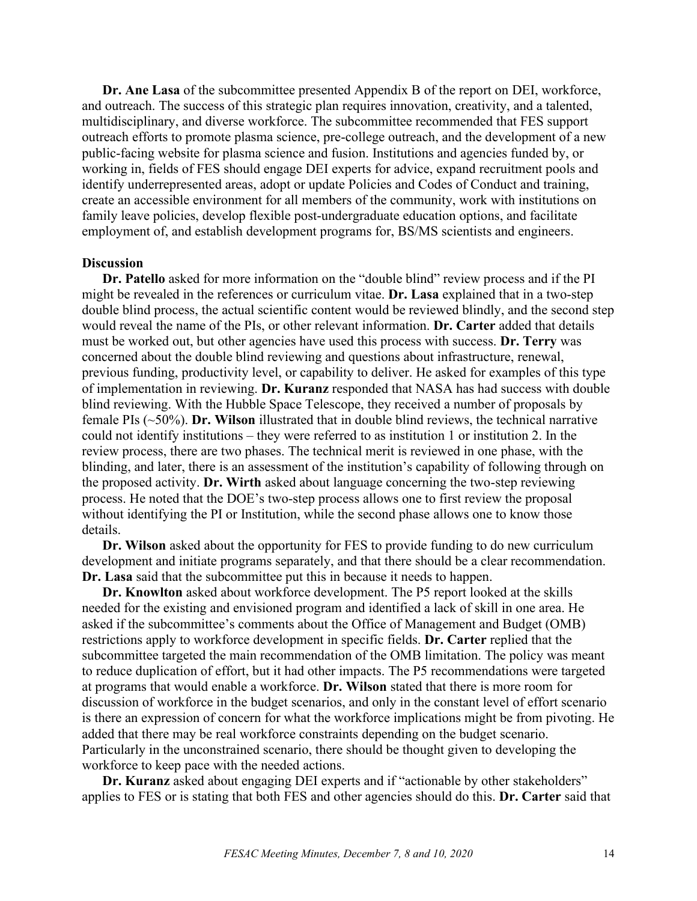**Dr. Ane Lasa** of the subcommittee presented Appendix B of the report on DEI, workforce, and outreach. The success of this strategic plan requires innovation, creativity, and a talented, multidisciplinary, and diverse workforce. The subcommittee recommended that FES support outreach efforts to promote plasma science, pre-college outreach, and the development of a new public-facing website for plasma science and fusion. Institutions and agencies funded by, or working in, fields of FES should engage DEI experts for advice, expand recruitment pools and identify underrepresented areas, adopt or update Policies and Codes of Conduct and training, create an accessible environment for all members of the community, work with institutions on family leave policies, develop flexible post-undergraduate education options, and facilitate employment of, and establish development programs for, BS/MS scientists and engineers.

#### **Discussion**

**Dr. Patello** asked for more information on the "double blind" review process and if the PI might be revealed in the references or curriculum vitae. **Dr. Lasa** explained that in a two-step double blind process, the actual scientific content would be reviewed blindly, and the second step would reveal the name of the PIs, or other relevant information. **Dr. Carter** added that details must be worked out, but other agencies have used this process with success. **Dr. Terry** was concerned about the double blind reviewing and questions about infrastructure, renewal, previous funding, productivity level, or capability to deliver. He asked for examples of this type of implementation in reviewing. **Dr. Kuranz** responded that NASA has had success with double blind reviewing. With the Hubble Space Telescope, they received a number of proposals by female PIs (~50%). **Dr. Wilson** illustrated that in double blind reviews, the technical narrative could not identify institutions – they were referred to as institution 1 or institution 2. In the review process, there are two phases. The technical merit is reviewed in one phase, with the blinding, and later, there is an assessment of the institution's capability of following through on the proposed activity. **Dr. Wirth** asked about language concerning the two-step reviewing process. He noted that the DOE's two-step process allows one to first review the proposal without identifying the PI or Institution, while the second phase allows one to know those details.

**Dr. Wilson** asked about the opportunity for FES to provide funding to do new curriculum development and initiate programs separately, and that there should be a clear recommendation. **Dr. Lasa** said that the subcommittee put this in because it needs to happen.

**Dr. Knowlton** asked about workforce development. The P5 report looked at the skills needed for the existing and envisioned program and identified a lack of skill in one area. He asked if the subcommittee's comments about the Office of Management and Budget (OMB) restrictions apply to workforce development in specific fields. **Dr. Carter** replied that the subcommittee targeted the main recommendation of the OMB limitation. The policy was meant to reduce duplication of effort, but it had other impacts. The P5 recommendations were targeted at programs that would enable a workforce. **Dr. Wilson** stated that there is more room for discussion of workforce in the budget scenarios, and only in the constant level of effort scenario is there an expression of concern for what the workforce implications might be from pivoting. He added that there may be real workforce constraints depending on the budget scenario. Particularly in the unconstrained scenario, there should be thought given to developing the workforce to keep pace with the needed actions.

**Dr. Kuranz** asked about engaging DEI experts and if "actionable by other stakeholders" applies to FES or is stating that both FES and other agencies should do this. **Dr. Carter** said that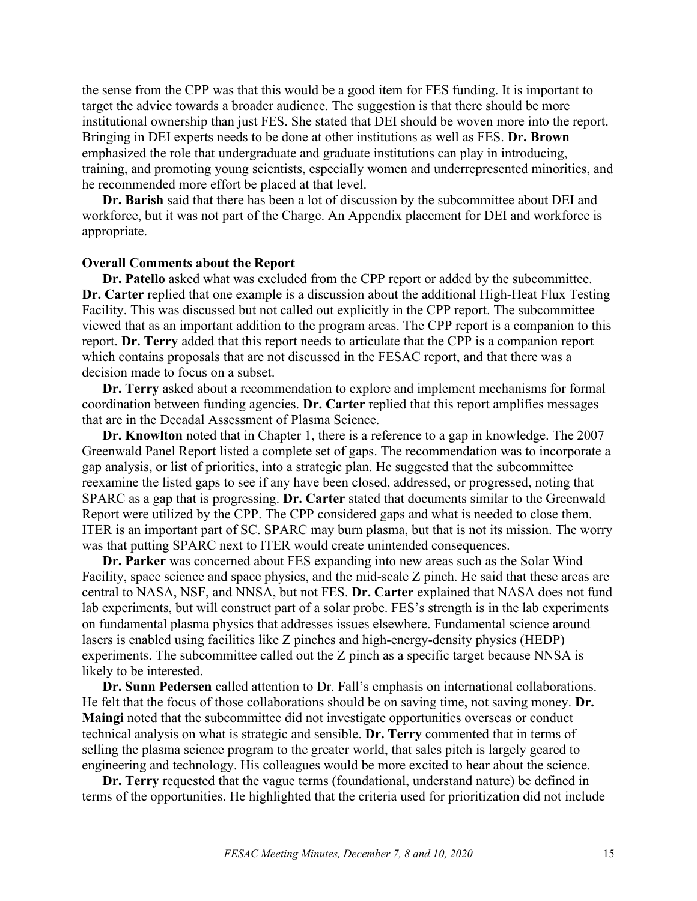the sense from the CPP was that this would be a good item for FES funding. It is important to target the advice towards a broader audience. The suggestion is that there should be more institutional ownership than just FES. She stated that DEI should be woven more into the report. Bringing in DEI experts needs to be done at other institutions as well as FES. **Dr. Brown** emphasized the role that undergraduate and graduate institutions can play in introducing, training, and promoting young scientists, especially women and underrepresented minorities, and he recommended more effort be placed at that level.

**Dr. Barish** said that there has been a lot of discussion by the subcommittee about DEI and workforce, but it was not part of the Charge. An Appendix placement for DEI and workforce is appropriate.

#### **Overall Comments about the Report**

**Dr. Patello** asked what was excluded from the CPP report or added by the subcommittee. **Dr. Carter** replied that one example is a discussion about the additional High-Heat Flux Testing Facility. This was discussed but not called out explicitly in the CPP report. The subcommittee viewed that as an important addition to the program areas. The CPP report is a companion to this report. **Dr. Terry** added that this report needs to articulate that the CPP is a companion report which contains proposals that are not discussed in the FESAC report, and that there was a decision made to focus on a subset.

**Dr. Terry** asked about a recommendation to explore and implement mechanisms for formal coordination between funding agencies. **Dr. Carter** replied that this report amplifies messages that are in the Decadal Assessment of Plasma Science.

**Dr. Knowlton** noted that in Chapter 1, there is a reference to a gap in knowledge. The 2007 Greenwald Panel Report listed a complete set of gaps. The recommendation was to incorporate a gap analysis, or list of priorities, into a strategic plan. He suggested that the subcommittee reexamine the listed gaps to see if any have been closed, addressed, or progressed, noting that SPARC as a gap that is progressing. **Dr. Carter** stated that documents similar to the Greenwald Report were utilized by the CPP. The CPP considered gaps and what is needed to close them. ITER is an important part of SC. SPARC may burn plasma, but that is not its mission. The worry was that putting SPARC next to ITER would create unintended consequences.

**Dr. Parker** was concerned about FES expanding into new areas such as the Solar Wind Facility, space science and space physics, and the mid-scale Z pinch. He said that these areas are central to NASA, NSF, and NNSA, but not FES. **Dr. Carter** explained that NASA does not fund lab experiments, but will construct part of a solar probe. FES's strength is in the lab experiments on fundamental plasma physics that addresses issues elsewhere. Fundamental science around lasers is enabled using facilities like Z pinches and high-energy-density physics (HEDP) experiments. The subcommittee called out the Z pinch as a specific target because NNSA is likely to be interested.

**Dr. Sunn Pedersen** called attention to Dr. Fall's emphasis on international collaborations. He felt that the focus of those collaborations should be on saving time, not saving money. **Dr. Maingi** noted that the subcommittee did not investigate opportunities overseas or conduct technical analysis on what is strategic and sensible. **Dr. Terry** commented that in terms of selling the plasma science program to the greater world, that sales pitch is largely geared to engineering and technology. His colleagues would be more excited to hear about the science.

**Dr. Terry** requested that the vague terms (foundational, understand nature) be defined in terms of the opportunities. He highlighted that the criteria used for prioritization did not include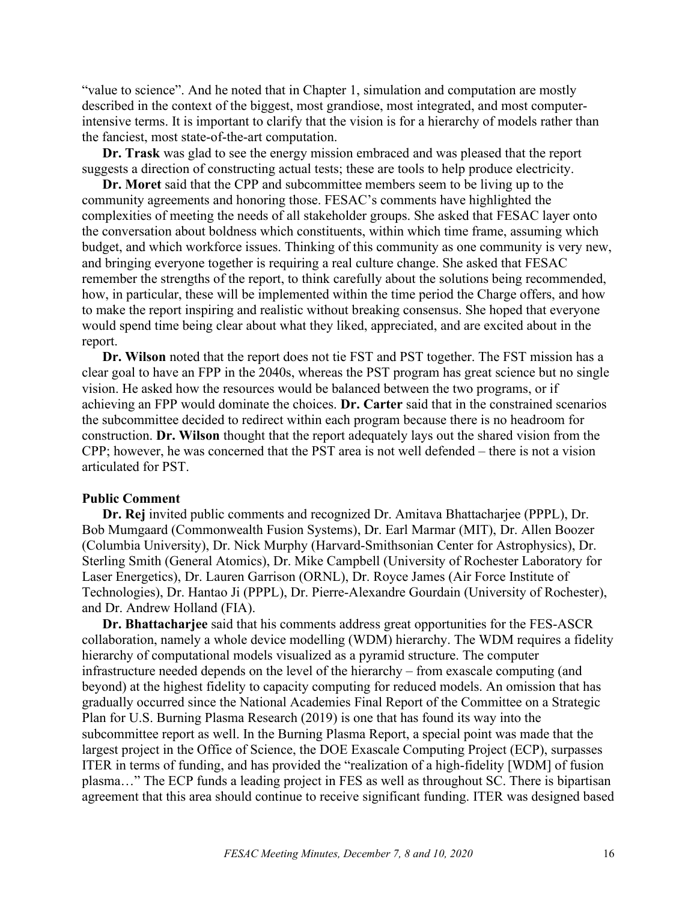"value to science". And he noted that in Chapter 1, simulation and computation are mostly described in the context of the biggest, most grandiose, most integrated, and most computerintensive terms. It is important to clarify that the vision is for a hierarchy of models rather than the fanciest, most state-of-the-art computation.

**Dr. Trask** was glad to see the energy mission embraced and was pleased that the report suggests a direction of constructing actual tests; these are tools to help produce electricity.

**Dr. Moret** said that the CPP and subcommittee members seem to be living up to the community agreements and honoring those. FESAC's comments have highlighted the complexities of meeting the needs of all stakeholder groups. She asked that FESAC layer onto the conversation about boldness which constituents, within which time frame, assuming which budget, and which workforce issues. Thinking of this community as one community is very new, and bringing everyone together is requiring a real culture change. She asked that FESAC remember the strengths of the report, to think carefully about the solutions being recommended, how, in particular, these will be implemented within the time period the Charge offers, and how to make the report inspiring and realistic without breaking consensus. She hoped that everyone would spend time being clear about what they liked, appreciated, and are excited about in the report.

**Dr. Wilson** noted that the report does not tie FST and PST together. The FST mission has a clear goal to have an FPP in the 2040s, whereas the PST program has great science but no single vision. He asked how the resources would be balanced between the two programs, or if achieving an FPP would dominate the choices. **Dr. Carter** said that in the constrained scenarios the subcommittee decided to redirect within each program because there is no headroom for construction. **Dr. Wilson** thought that the report adequately lays out the shared vision from the CPP; however, he was concerned that the PST area is not well defended – there is not a vision articulated for PST.

#### **Public Comment**

**Dr. Rej** invited public comments and recognized Dr. Amitava Bhattacharjee (PPPL), Dr. Bob Mumgaard (Commonwealth Fusion Systems), Dr. Earl Marmar (MIT), Dr. Allen Boozer (Columbia University), Dr. Nick Murphy (Harvard-Smithsonian Center for Astrophysics), Dr. Sterling Smith (General Atomics), Dr. Mike Campbell (University of Rochester Laboratory for Laser Energetics), Dr. Lauren Garrison (ORNL), Dr. Royce James (Air Force Institute of Technologies), Dr. Hantao Ji (PPPL), Dr. Pierre-Alexandre Gourdain (University of Rochester), and Dr. Andrew Holland (FIA).

**Dr. Bhattacharjee** said that his comments address great opportunities for the FES-ASCR collaboration, namely a whole device modelling (WDM) hierarchy. The WDM requires a fidelity hierarchy of computational models visualized as a pyramid structure. The computer infrastructure needed depends on the level of the hierarchy – from exascale computing (and beyond) at the highest fidelity to capacity computing for reduced models. An omission that has gradually occurred since the National Academies Final Report of the Committee on a Strategic Plan for U.S. Burning Plasma Research (2019) is one that has found its way into the subcommittee report as well. In the Burning Plasma Report, a special point was made that the largest project in the Office of Science, the DOE Exascale Computing Project (ECP), surpasses ITER in terms of funding, and has provided the "realization of a high-fidelity [WDM] of fusion plasma…" The ECP funds a leading project in FES as well as throughout SC. There is bipartisan agreement that this area should continue to receive significant funding. ITER was designed based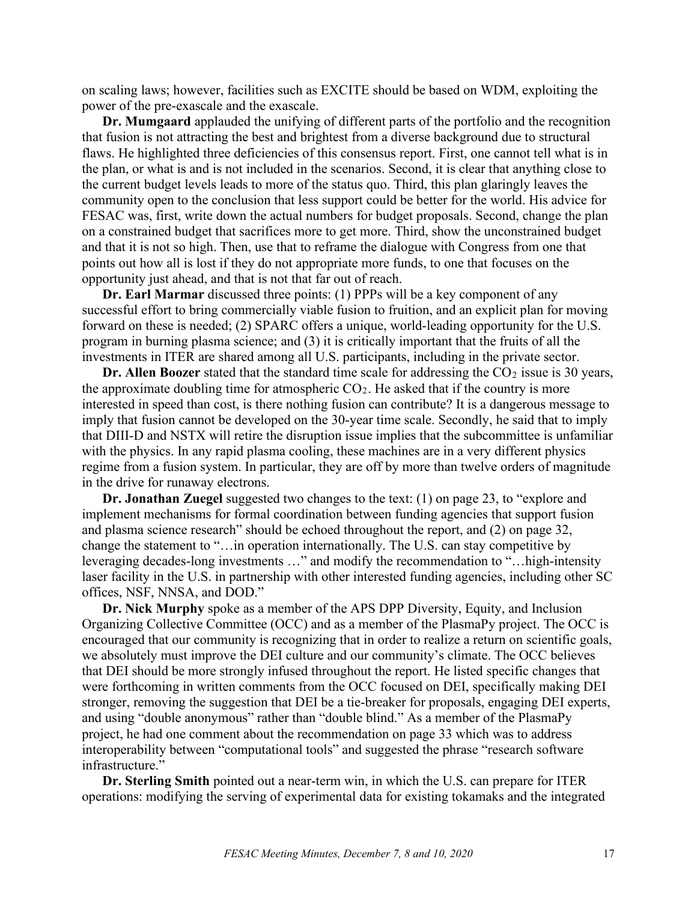on scaling laws; however, facilities such as EXCITE should be based on WDM, exploiting the power of the pre-exascale and the exascale.

**Dr. Mumgaard** applauded the unifying of different parts of the portfolio and the recognition that fusion is not attracting the best and brightest from a diverse background due to structural flaws. He highlighted three deficiencies of this consensus report. First, one cannot tell what is in the plan, or what is and is not included in the scenarios. Second, it is clear that anything close to the current budget levels leads to more of the status quo. Third, this plan glaringly leaves the community open to the conclusion that less support could be better for the world. His advice for FESAC was, first, write down the actual numbers for budget proposals. Second, change the plan on a constrained budget that sacrifices more to get more. Third, show the unconstrained budget and that it is not so high. Then, use that to reframe the dialogue with Congress from one that points out how all is lost if they do not appropriate more funds, to one that focuses on the opportunity just ahead, and that is not that far out of reach.

**Dr. Earl Marmar** discussed three points: (1) PPPs will be a key component of any successful effort to bring commercially viable fusion to fruition, and an explicit plan for moving forward on these is needed; (2) SPARC offers a unique, world-leading opportunity for the U.S. program in burning plasma science; and (3) it is critically important that the fruits of all the investments in ITER are shared among all U.S. participants, including in the private sector.

**Dr. Allen Boozer** stated that the standard time scale for addressing the CO<sub>2</sub> issue is 30 years, the approximate doubling time for atmospheric  $CO<sub>2</sub>$ . He asked that if the country is more interested in speed than cost, is there nothing fusion can contribute? It is a dangerous message to imply that fusion cannot be developed on the 30-year time scale. Secondly, he said that to imply that DIII-D and NSTX will retire the disruption issue implies that the subcommittee is unfamiliar with the physics. In any rapid plasma cooling, these machines are in a very different physics regime from a fusion system. In particular, they are off by more than twelve orders of magnitude in the drive for runaway electrons.

**Dr. Jonathan Zuegel** suggested two changes to the text: (1) on page 23, to "explore and implement mechanisms for formal coordination between funding agencies that support fusion and plasma science research" should be echoed throughout the report, and (2) on page 32, change the statement to "…in operation internationally. The U.S. can stay competitive by leveraging decades-long investments …" and modify the recommendation to "…high-intensity laser facility in the U.S. in partnership with other interested funding agencies, including other SC offices, NSF, NNSA, and DOD."

**Dr. Nick Murphy** spoke as a member of the APS DPP Diversity, Equity, and Inclusion Organizing Collective Committee (OCC) and as a member of the PlasmaPy project. The OCC is encouraged that our community is recognizing that in order to realize a return on scientific goals, we absolutely must improve the DEI culture and our community's climate. The OCC believes that DEI should be more strongly infused throughout the report. He listed specific changes that were forthcoming in written comments from the OCC focused on DEI, specifically making DEI stronger, removing the suggestion that DEI be a tie-breaker for proposals, engaging DEI experts, and using "double anonymous" rather than "double blind." As a member of the PlasmaPy project, he had one comment about the recommendation on page 33 which was to address interoperability between "computational tools" and suggested the phrase "research software infrastructure."

**Dr. Sterling Smith** pointed out a near-term win, in which the U.S. can prepare for ITER operations: modifying the serving of experimental data for existing tokamaks and the integrated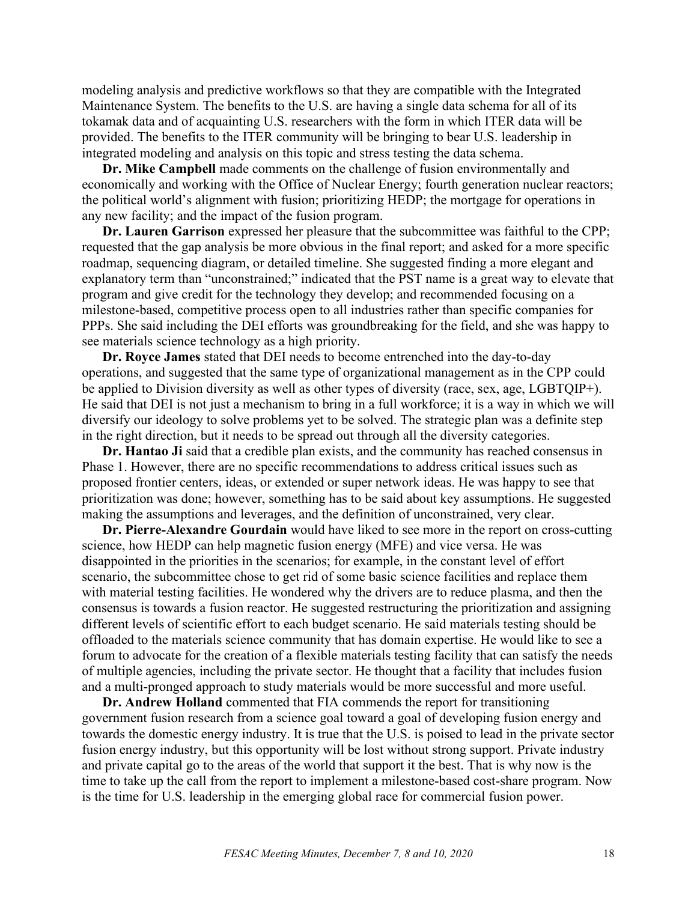modeling analysis and predictive workflows so that they are compatible with the Integrated Maintenance System. The benefits to the U.S. are having a single data schema for all of its tokamak data and of acquainting U.S. researchers with the form in which ITER data will be provided. The benefits to the ITER community will be bringing to bear U.S. leadership in integrated modeling and analysis on this topic and stress testing the data schema.

**Dr. Mike Campbell** made comments on the challenge of fusion environmentally and economically and working with the Office of Nuclear Energy; fourth generation nuclear reactors; the political world's alignment with fusion; prioritizing HEDP; the mortgage for operations in any new facility; and the impact of the fusion program.

**Dr. Lauren Garrison** expressed her pleasure that the subcommittee was faithful to the CPP; requested that the gap analysis be more obvious in the final report; and asked for a more specific roadmap, sequencing diagram, or detailed timeline. She suggested finding a more elegant and explanatory term than "unconstrained;" indicated that the PST name is a great way to elevate that program and give credit for the technology they develop; and recommended focusing on a milestone-based, competitive process open to all industries rather than specific companies for PPPs. She said including the DEI efforts was groundbreaking for the field, and she was happy to see materials science technology as a high priority.

**Dr. Royce James** stated that DEI needs to become entrenched into the day-to-day operations, and suggested that the same type of organizational management as in the CPP could be applied to Division diversity as well as other types of diversity (race, sex, age, LGBTQIP+). He said that DEI is not just a mechanism to bring in a full workforce; it is a way in which we will diversify our ideology to solve problems yet to be solved. The strategic plan was a definite step in the right direction, but it needs to be spread out through all the diversity categories.

**Dr. Hantao Ji** said that a credible plan exists, and the community has reached consensus in Phase 1. However, there are no specific recommendations to address critical issues such as proposed frontier centers, ideas, or extended or super network ideas. He was happy to see that prioritization was done; however, something has to be said about key assumptions. He suggested making the assumptions and leverages, and the definition of unconstrained, very clear.

**Dr. Pierre-Alexandre Gourdain** would have liked to see more in the report on cross-cutting science, how HEDP can help magnetic fusion energy (MFE) and vice versa. He was disappointed in the priorities in the scenarios; for example, in the constant level of effort scenario, the subcommittee chose to get rid of some basic science facilities and replace them with material testing facilities. He wondered why the drivers are to reduce plasma, and then the consensus is towards a fusion reactor. He suggested restructuring the prioritization and assigning different levels of scientific effort to each budget scenario. He said materials testing should be offloaded to the materials science community that has domain expertise. He would like to see a forum to advocate for the creation of a flexible materials testing facility that can satisfy the needs of multiple agencies, including the private sector. He thought that a facility that includes fusion and a multi-pronged approach to study materials would be more successful and more useful.

**Dr. Andrew Holland** commented that FIA commends the report for transitioning government fusion research from a science goal toward a goal of developing fusion energy and towards the domestic energy industry. It is true that the U.S. is poised to lead in the private sector fusion energy industry, but this opportunity will be lost without strong support. Private industry and private capital go to the areas of the world that support it the best. That is why now is the time to take up the call from the report to implement a milestone-based cost-share program. Now is the time for U.S. leadership in the emerging global race for commercial fusion power.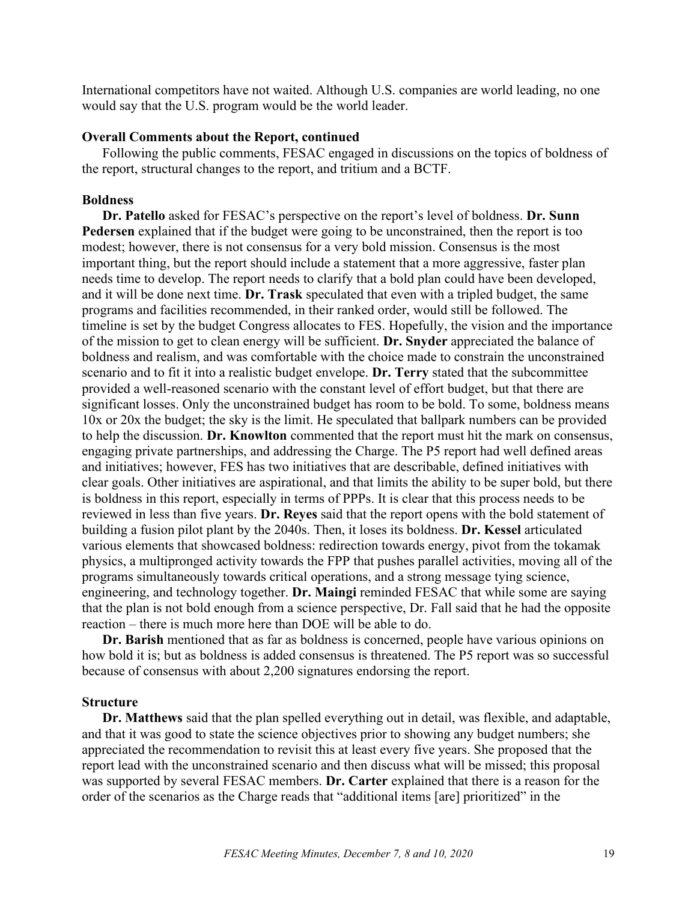International competitors have not waited. Although U.S. companies are world leading, no one would say that the U.S. program would be the world leader.

#### **Overall Comments about the Report, continued**

Following the public comments, FESAC engaged in discussions on the topics of boldness of the report, structural changes to the report, and tritium and a BCTF.

### **Boldness**

**Dr. Patello** asked for FESAC's perspective on the report's level of boldness. **Dr. Sunn Pedersen** explained that if the budget were going to be unconstrained, then the report is too modest; however, there is not consensus for a very bold mission. Consensus is the most important thing, but the report should include a statement that a more aggressive, faster plan needs time to develop. The report needs to clarify that a bold plan could have been developed, and it will be done next time. **Dr. Trask** speculated that even with a tripled budget, the same programs and facilities recommended, in their ranked order, would still be followed. The timeline is set by the budget Congress allocates to FES. Hopefully, the vision and the importance of the mission to get to clean energy will be sufficient. **Dr. Snyder** appreciated the balance of boldness and realism, and was comfortable with the choice made to constrain the unconstrained scenario and to fit it into a realistic budget envelope. **Dr. Terry** stated that the subcommittee provided a well-reasoned scenario with the constant level of effort budget, but that there are significant losses. Only the unconstrained budget has room to be bold. To some, boldness means 10x or 20x the budget; the sky is the limit. He speculated that ballpark numbers can be provided to help the discussion. **Dr. Knowlton** commented that the report must hit the mark on consensus, engaging private partnerships, and addressing the Charge. The P5 report had well defined areas and initiatives; however, FES has two initiatives that are describable, defined initiatives with clear goals. Other initiatives are aspirational, and that limits the ability to be super bold, but there is boldness in this report, especially in terms of PPPs. It is clear that this process needs to be reviewed in less than five years. **Dr. Reyes** said that the report opens with the bold statement of building a fusion pilot plant by the 2040s. Then, it loses its boldness. **Dr. Kessel** articulated various elements that showcased boldness: redirection towards energy, pivot from the tokamak physics, a multipronged activity towards the FPP that pushes parallel activities, moving all of the programs simultaneously towards critical operations, and a strong message tying science, engineering, and technology together. **Dr. Maingi** reminded FESAC that while some are saying that the plan is not bold enough from a science perspective, Dr. Fall said that he had the opposite reaction – there is much more here than DOE will be able to do.

**Dr. Barish** mentioned that as far as boldness is concerned, people have various opinions on how bold it is; but as boldness is added consensus is threatened. The P5 report was so successful because of consensus with about 2,200 signatures endorsing the report.

#### **Structure**

**Dr. Matthews** said that the plan spelled everything out in detail, was flexible, and adaptable, and that it was good to state the science objectives prior to showing any budget numbers; she appreciated the recommendation to revisit this at least every five years. She proposed that the report lead with the unconstrained scenario and then discuss what will be missed; this proposal was supported by several FESAC members. **Dr. Carter** explained that there is a reason for the order of the scenarios as the Charge reads that "additional items [are] prioritized" in the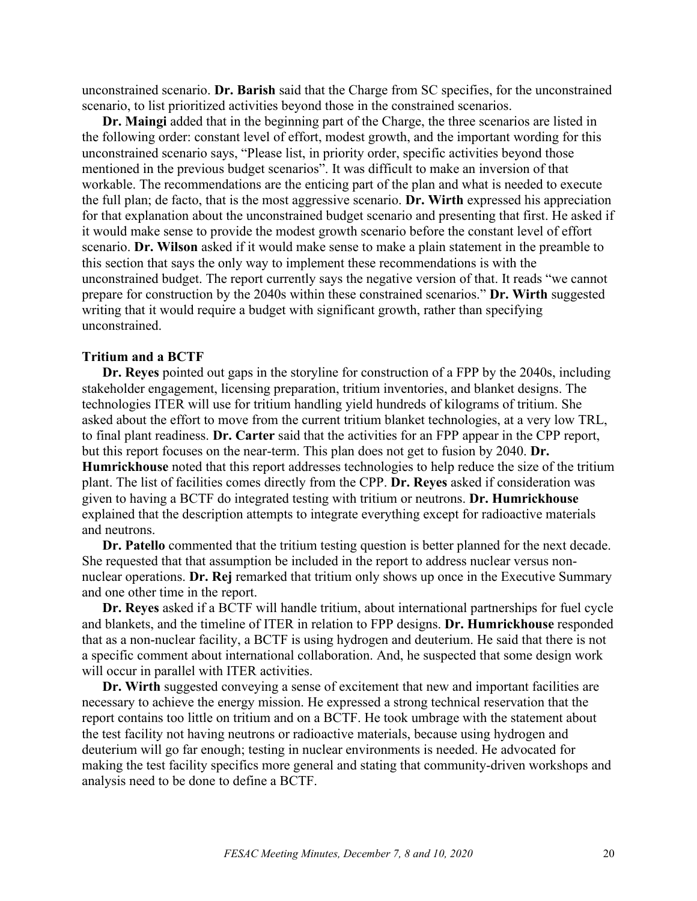unconstrained scenario. **Dr. Barish** said that the Charge from SC specifies, for the unconstrained scenario, to list prioritized activities beyond those in the constrained scenarios.

**Dr. Maingi** added that in the beginning part of the Charge, the three scenarios are listed in the following order: constant level of effort, modest growth, and the important wording for this unconstrained scenario says, "Please list, in priority order, specific activities beyond those mentioned in the previous budget scenarios". It was difficult to make an inversion of that workable. The recommendations are the enticing part of the plan and what is needed to execute the full plan; de facto, that is the most aggressive scenario. **Dr. Wirth** expressed his appreciation for that explanation about the unconstrained budget scenario and presenting that first. He asked if it would make sense to provide the modest growth scenario before the constant level of effort scenario. **Dr. Wilson** asked if it would make sense to make a plain statement in the preamble to this section that says the only way to implement these recommendations is with the unconstrained budget. The report currently says the negative version of that. It reads "we cannot prepare for construction by the 2040s within these constrained scenarios." **Dr. Wirth** suggested writing that it would require a budget with significant growth, rather than specifying unconstrained.

#### **Tritium and a BCTF**

**Dr. Reyes** pointed out gaps in the storyline for construction of a FPP by the 2040s, including stakeholder engagement, licensing preparation, tritium inventories, and blanket designs. The technologies ITER will use for tritium handling yield hundreds of kilograms of tritium. She asked about the effort to move from the current tritium blanket technologies, at a very low TRL, to final plant readiness. **Dr. Carter** said that the activities for an FPP appear in the CPP report, but this report focuses on the near-term. This plan does not get to fusion by 2040. **Dr. Humrickhouse** noted that this report addresses technologies to help reduce the size of the tritium plant. The list of facilities comes directly from the CPP. **Dr. Reyes** asked if consideration was given to having a BCTF do integrated testing with tritium or neutrons. **Dr. Humrickhouse** explained that the description attempts to integrate everything except for radioactive materials and neutrons.

**Dr. Patello** commented that the tritium testing question is better planned for the next decade. She requested that that assumption be included in the report to address nuclear versus nonnuclear operations. **Dr. Rej** remarked that tritium only shows up once in the Executive Summary and one other time in the report.

**Dr. Reyes** asked if a BCTF will handle tritium, about international partnerships for fuel cycle and blankets, and the timeline of ITER in relation to FPP designs. **Dr. Humrickhouse** responded that as a non-nuclear facility, a BCTF is using hydrogen and deuterium. He said that there is not a specific comment about international collaboration. And, he suspected that some design work will occur in parallel with ITER activities.

**Dr. Wirth** suggested conveying a sense of excitement that new and important facilities are necessary to achieve the energy mission. He expressed a strong technical reservation that the report contains too little on tritium and on a BCTF. He took umbrage with the statement about the test facility not having neutrons or radioactive materials, because using hydrogen and deuterium will go far enough; testing in nuclear environments is needed. He advocated for making the test facility specifics more general and stating that community-driven workshops and analysis need to be done to define a BCTF.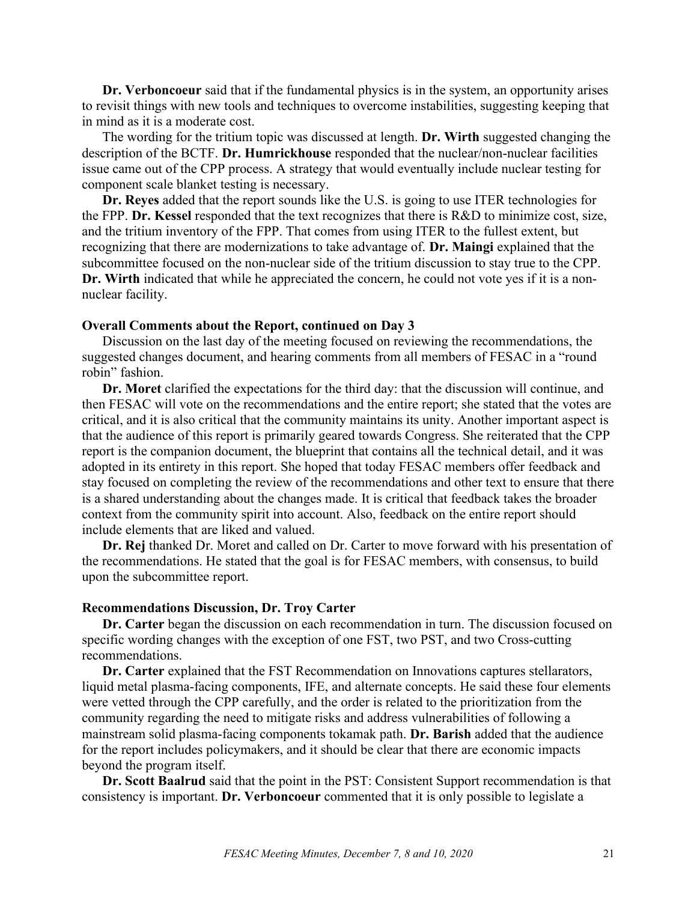**Dr. Verboncoeur** said that if the fundamental physics is in the system, an opportunity arises to revisit things with new tools and techniques to overcome instabilities, suggesting keeping that in mind as it is a moderate cost.

The wording for the tritium topic was discussed at length. **Dr. Wirth** suggested changing the description of the BCTF. **Dr. Humrickhouse** responded that the nuclear/non-nuclear facilities issue came out of the CPP process. A strategy that would eventually include nuclear testing for component scale blanket testing is necessary.

**Dr. Reyes** added that the report sounds like the U.S. is going to use ITER technologies for the FPP. **Dr. Kessel** responded that the text recognizes that there is R&D to minimize cost, size, and the tritium inventory of the FPP. That comes from using ITER to the fullest extent, but recognizing that there are modernizations to take advantage of. **Dr. Maingi** explained that the subcommittee focused on the non-nuclear side of the tritium discussion to stay true to the CPP. **Dr. Wirth** indicated that while he appreciated the concern, he could not vote yes if it is a nonnuclear facility.

#### **Overall Comments about the Report, continued on Day 3**

Discussion on the last day of the meeting focused on reviewing the recommendations, the suggested changes document, and hearing comments from all members of FESAC in a "round robin" fashion.

**Dr. Moret** clarified the expectations for the third day: that the discussion will continue, and then FESAC will vote on the recommendations and the entire report; she stated that the votes are critical, and it is also critical that the community maintains its unity. Another important aspect is that the audience of this report is primarily geared towards Congress. She reiterated that the CPP report is the companion document, the blueprint that contains all the technical detail, and it was adopted in its entirety in this report. She hoped that today FESAC members offer feedback and stay focused on completing the review of the recommendations and other text to ensure that there is a shared understanding about the changes made. It is critical that feedback takes the broader context from the community spirit into account. Also, feedback on the entire report should include elements that are liked and valued.

**Dr. Rej** thanked Dr. Moret and called on Dr. Carter to move forward with his presentation of the recommendations. He stated that the goal is for FESAC members, with consensus, to build upon the subcommittee report.

#### **Recommendations Discussion, Dr. Troy Carter**

**Dr. Carter** began the discussion on each recommendation in turn. The discussion focused on specific wording changes with the exception of one FST, two PST, and two Cross-cutting recommendations.

**Dr. Carter** explained that the FST Recommendation on Innovations captures stellarators, liquid metal plasma-facing components, IFE, and alternate concepts. He said these four elements were vetted through the CPP carefully, and the order is related to the prioritization from the community regarding the need to mitigate risks and address vulnerabilities of following a mainstream solid plasma-facing components tokamak path. **Dr. Barish** added that the audience for the report includes policymakers, and it should be clear that there are economic impacts beyond the program itself.

**Dr. Scott Baalrud** said that the point in the PST: Consistent Support recommendation is that consistency is important. **Dr. Verboncoeur** commented that it is only possible to legislate a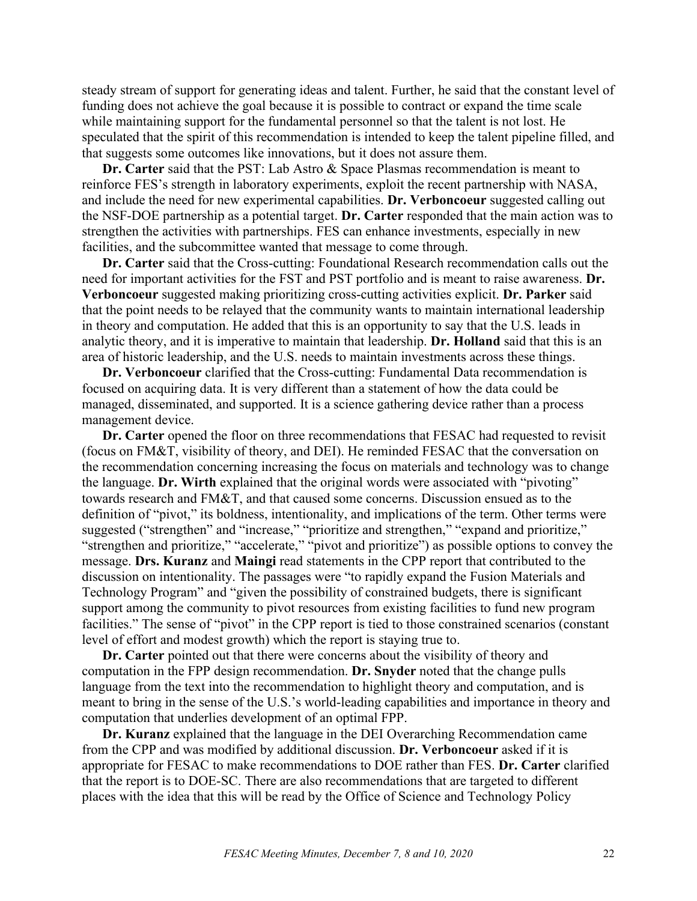steady stream of support for generating ideas and talent. Further, he said that the constant level of funding does not achieve the goal because it is possible to contract or expand the time scale while maintaining support for the fundamental personnel so that the talent is not lost. He speculated that the spirit of this recommendation is intended to keep the talent pipeline filled, and that suggests some outcomes like innovations, but it does not assure them.

**Dr. Carter** said that the PST: Lab Astro & Space Plasmas recommendation is meant to reinforce FES's strength in laboratory experiments, exploit the recent partnership with NASA, and include the need for new experimental capabilities. **Dr. Verboncoeur** suggested calling out the NSF-DOE partnership as a potential target. **Dr. Carter** responded that the main action was to strengthen the activities with partnerships. FES can enhance investments, especially in new facilities, and the subcommittee wanted that message to come through.

**Dr. Carter** said that the Cross-cutting: Foundational Research recommendation calls out the need for important activities for the FST and PST portfolio and is meant to raise awareness. **Dr. Verboncoeur** suggested making prioritizing cross-cutting activities explicit. **Dr. Parker** said that the point needs to be relayed that the community wants to maintain international leadership in theory and computation. He added that this is an opportunity to say that the U.S. leads in analytic theory, and it is imperative to maintain that leadership. **Dr. Holland** said that this is an area of historic leadership, and the U.S. needs to maintain investments across these things.

**Dr. Verboncoeur** clarified that the Cross-cutting: Fundamental Data recommendation is focused on acquiring data. It is very different than a statement of how the data could be managed, disseminated, and supported. It is a science gathering device rather than a process management device.

**Dr. Carter** opened the floor on three recommendations that FESAC had requested to revisit (focus on FM&T, visibility of theory, and DEI). He reminded FESAC that the conversation on the recommendation concerning increasing the focus on materials and technology was to change the language. **Dr. Wirth** explained that the original words were associated with "pivoting" towards research and FM&T, and that caused some concerns. Discussion ensued as to the definition of "pivot," its boldness, intentionality, and implications of the term. Other terms were suggested ("strengthen" and "increase," "prioritize and strengthen," "expand and prioritize," "strengthen and prioritize," "accelerate," "pivot and prioritize") as possible options to convey the message. **Drs. Kuranz** and **Maingi** read statements in the CPP report that contributed to the discussion on intentionality. The passages were "to rapidly expand the Fusion Materials and Technology Program" and "given the possibility of constrained budgets, there is significant support among the community to pivot resources from existing facilities to fund new program facilities." The sense of "pivot" in the CPP report is tied to those constrained scenarios (constant level of effort and modest growth) which the report is staying true to.

**Dr. Carter** pointed out that there were concerns about the visibility of theory and computation in the FPP design recommendation. **Dr. Snyder** noted that the change pulls language from the text into the recommendation to highlight theory and computation, and is meant to bring in the sense of the U.S.'s world-leading capabilities and importance in theory and computation that underlies development of an optimal FPP.

**Dr. Kuranz** explained that the language in the DEI Overarching Recommendation came from the CPP and was modified by additional discussion. **Dr. Verboncoeur** asked if it is appropriate for FESAC to make recommendations to DOE rather than FES. **Dr. Carter** clarified that the report is to DOE-SC. There are also recommendations that are targeted to different places with the idea that this will be read by the Office of Science and Technology Policy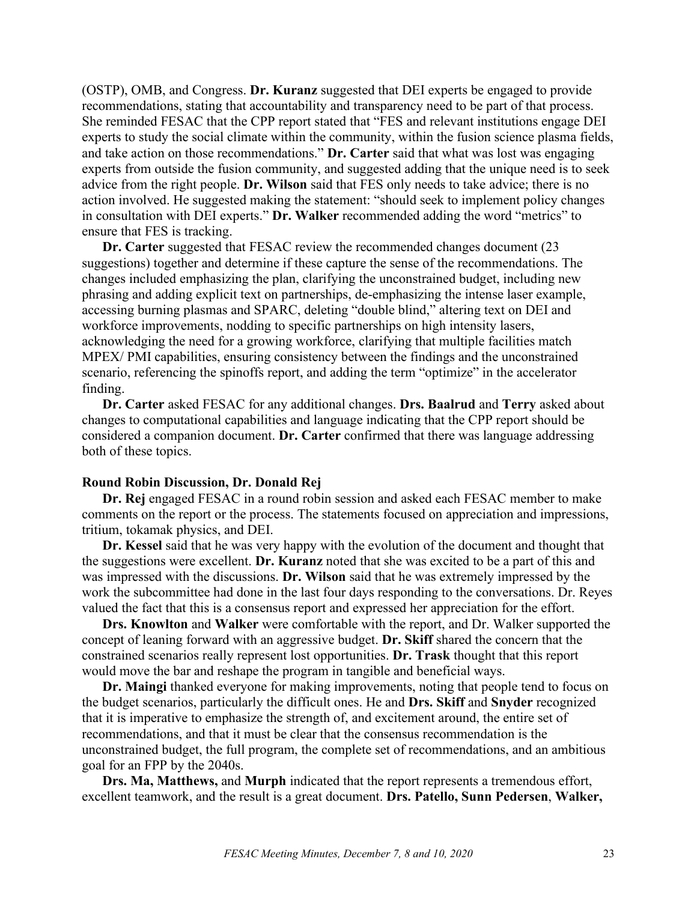(OSTP), OMB, and Congress. **Dr. Kuranz** suggested that DEI experts be engaged to provide recommendations, stating that accountability and transparency need to be part of that process. She reminded FESAC that the CPP report stated that "FES and relevant institutions engage DEI experts to study the social climate within the community, within the fusion science plasma fields, and take action on those recommendations." **Dr. Carter** said that what was lost was engaging experts from outside the fusion community, and suggested adding that the unique need is to seek advice from the right people. **Dr. Wilson** said that FES only needs to take advice; there is no action involved. He suggested making the statement: "should seek to implement policy changes in consultation with DEI experts." **Dr. Walker** recommended adding the word "metrics" to ensure that FES is tracking.

**Dr. Carter** suggested that FESAC review the recommended changes document (23 suggestions) together and determine if these capture the sense of the recommendations. The changes included emphasizing the plan, clarifying the unconstrained budget, including new phrasing and adding explicit text on partnerships, de-emphasizing the intense laser example, accessing burning plasmas and SPARC, deleting "double blind," altering text on DEI and workforce improvements, nodding to specific partnerships on high intensity lasers, acknowledging the need for a growing workforce, clarifying that multiple facilities match MPEX/ PMI capabilities, ensuring consistency between the findings and the unconstrained scenario, referencing the spinoffs report, and adding the term "optimize" in the accelerator finding.

**Dr. Carter** asked FESAC for any additional changes. **Drs. Baalrud** and **Terry** asked about changes to computational capabilities and language indicating that the CPP report should be considered a companion document. **Dr. Carter** confirmed that there was language addressing both of these topics.

#### **Round Robin Discussion, Dr. Donald Rej**

**Dr. Rej** engaged FESAC in a round robin session and asked each FESAC member to make comments on the report or the process. The statements focused on appreciation and impressions, tritium, tokamak physics, and DEI.

**Dr. Kessel** said that he was very happy with the evolution of the document and thought that the suggestions were excellent. **Dr. Kuranz** noted that she was excited to be a part of this and was impressed with the discussions. **Dr. Wilson** said that he was extremely impressed by the work the subcommittee had done in the last four days responding to the conversations. Dr. Reyes valued the fact that this is a consensus report and expressed her appreciation for the effort.

**Drs. Knowlton** and **Walker** were comfortable with the report, and Dr. Walker supported the concept of leaning forward with an aggressive budget. **Dr. Skiff** shared the concern that the constrained scenarios really represent lost opportunities. **Dr. Trask** thought that this report would move the bar and reshape the program in tangible and beneficial ways.

**Dr. Maingi** thanked everyone for making improvements, noting that people tend to focus on the budget scenarios, particularly the difficult ones. He and **Drs. Skiff** and **Snyder** recognized that it is imperative to emphasize the strength of, and excitement around, the entire set of recommendations, and that it must be clear that the consensus recommendation is the unconstrained budget, the full program, the complete set of recommendations, and an ambitious goal for an FPP by the 2040s.

**Drs. Ma, Matthews,** and **Murph** indicated that the report represents a tremendous effort, excellent teamwork, and the result is a great document. **Drs. Patello, Sunn Pedersen**, **Walker,**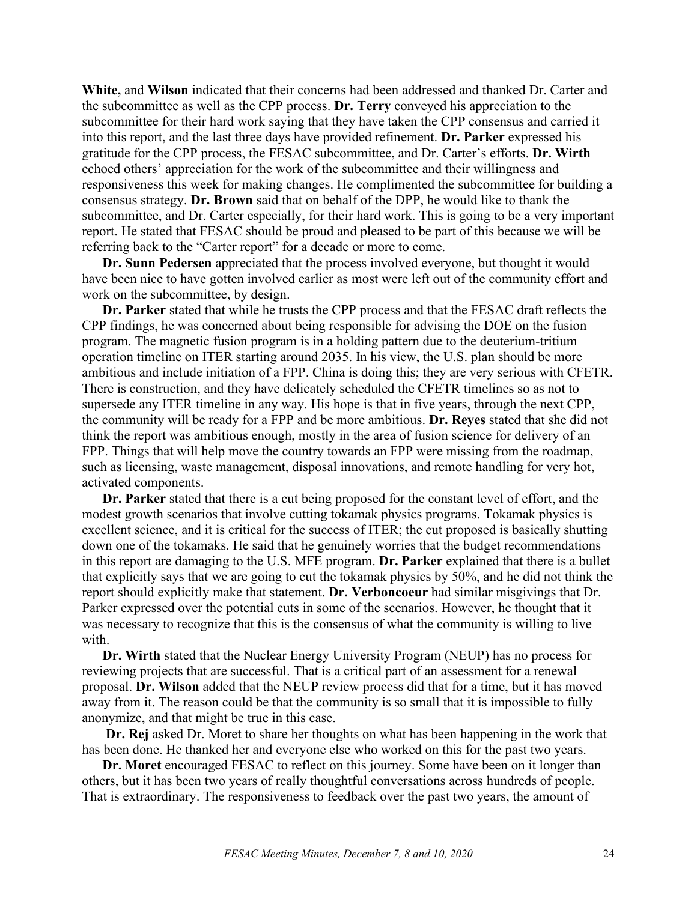**White,** and **Wilson** indicated that their concerns had been addressed and thanked Dr. Carter and the subcommittee as well as the CPP process. **Dr. Terry** conveyed his appreciation to the subcommittee for their hard work saying that they have taken the CPP consensus and carried it into this report, and the last three days have provided refinement. **Dr. Parker** expressed his gratitude for the CPP process, the FESAC subcommittee, and Dr. Carter's efforts. **Dr. Wirth** echoed others' appreciation for the work of the subcommittee and their willingness and responsiveness this week for making changes. He complimented the subcommittee for building a consensus strategy. **Dr. Brown** said that on behalf of the DPP, he would like to thank the subcommittee, and Dr. Carter especially, for their hard work. This is going to be a very important report. He stated that FESAC should be proud and pleased to be part of this because we will be referring back to the "Carter report" for a decade or more to come.

**Dr. Sunn Pedersen** appreciated that the process involved everyone, but thought it would have been nice to have gotten involved earlier as most were left out of the community effort and work on the subcommittee, by design.

**Dr. Parker** stated that while he trusts the CPP process and that the FESAC draft reflects the CPP findings, he was concerned about being responsible for advising the DOE on the fusion program. The magnetic fusion program is in a holding pattern due to the deuterium-tritium operation timeline on ITER starting around 2035. In his view, the U.S. plan should be more ambitious and include initiation of a FPP. China is doing this; they are very serious with CFETR. There is construction, and they have delicately scheduled the CFETR timelines so as not to supersede any ITER timeline in any way. His hope is that in five years, through the next CPP, the community will be ready for a FPP and be more ambitious. **Dr. Reyes** stated that she did not think the report was ambitious enough, mostly in the area of fusion science for delivery of an FPP. Things that will help move the country towards an FPP were missing from the roadmap, such as licensing, waste management, disposal innovations, and remote handling for very hot, activated components.

**Dr. Parker** stated that there is a cut being proposed for the constant level of effort, and the modest growth scenarios that involve cutting tokamak physics programs. Tokamak physics is excellent science, and it is critical for the success of ITER; the cut proposed is basically shutting down one of the tokamaks. He said that he genuinely worries that the budget recommendations in this report are damaging to the U.S. MFE program. **Dr. Parker** explained that there is a bullet that explicitly says that we are going to cut the tokamak physics by 50%, and he did not think the report should explicitly make that statement. **Dr. Verboncoeur** had similar misgivings that Dr. Parker expressed over the potential cuts in some of the scenarios. However, he thought that it was necessary to recognize that this is the consensus of what the community is willing to live with.

**Dr. Wirth** stated that the Nuclear Energy University Program (NEUP) has no process for reviewing projects that are successful. That is a critical part of an assessment for a renewal proposal. **Dr. Wilson** added that the NEUP review process did that for a time, but it has moved away from it. The reason could be that the community is so small that it is impossible to fully anonymize, and that might be true in this case.

**Dr. Rej** asked Dr. Moret to share her thoughts on what has been happening in the work that has been done. He thanked her and everyone else who worked on this for the past two years.

**Dr. Moret** encouraged FESAC to reflect on this journey. Some have been on it longer than others, but it has been two years of really thoughtful conversations across hundreds of people. That is extraordinary. The responsiveness to feedback over the past two years, the amount of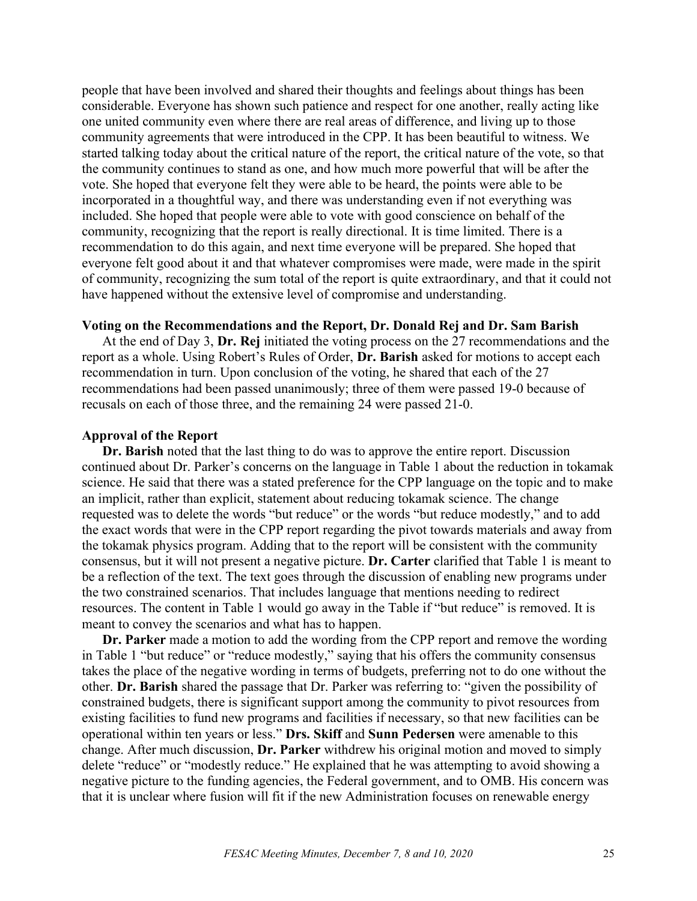people that have been involved and shared their thoughts and feelings about things has been considerable. Everyone has shown such patience and respect for one another, really acting like one united community even where there are real areas of difference, and living up to those community agreements that were introduced in the CPP. It has been beautiful to witness. We started talking today about the critical nature of the report, the critical nature of the vote, so that the community continues to stand as one, and how much more powerful that will be after the vote. She hoped that everyone felt they were able to be heard, the points were able to be incorporated in a thoughtful way, and there was understanding even if not everything was included. She hoped that people were able to vote with good conscience on behalf of the community, recognizing that the report is really directional. It is time limited. There is a recommendation to do this again, and next time everyone will be prepared. She hoped that everyone felt good about it and that whatever compromises were made, were made in the spirit of community, recognizing the sum total of the report is quite extraordinary, and that it could not have happened without the extensive level of compromise and understanding.

## **Voting on the Recommendations and the Report, Dr. Donald Rej and Dr. Sam Barish**

At the end of Day 3, **Dr. Rej** initiated the voting process on the 27 recommendations and the report as a whole. Using Robert's Rules of Order, **Dr. Barish** asked for motions to accept each recommendation in turn. Upon conclusion of the voting, he shared that each of the 27 recommendations had been passed unanimously; three of them were passed 19-0 because of recusals on each of those three, and the remaining 24 were passed 21-0.

#### **Approval of the Report**

**Dr. Barish** noted that the last thing to do was to approve the entire report. Discussion continued about Dr. Parker's concerns on the language in Table 1 about the reduction in tokamak science. He said that there was a stated preference for the CPP language on the topic and to make an implicit, rather than explicit, statement about reducing tokamak science. The change requested was to delete the words "but reduce" or the words "but reduce modestly," and to add the exact words that were in the CPP report regarding the pivot towards materials and away from the tokamak physics program. Adding that to the report will be consistent with the community consensus, but it will not present a negative picture. **Dr. Carter** clarified that Table 1 is meant to be a reflection of the text. The text goes through the discussion of enabling new programs under the two constrained scenarios. That includes language that mentions needing to redirect resources. The content in Table 1 would go away in the Table if "but reduce" is removed. It is meant to convey the scenarios and what has to happen.

**Dr. Parker** made a motion to add the wording from the CPP report and remove the wording in Table 1 "but reduce" or "reduce modestly," saying that his offers the community consensus takes the place of the negative wording in terms of budgets, preferring not to do one without the other. **Dr. Barish** shared the passage that Dr. Parker was referring to: "given the possibility of constrained budgets, there is significant support among the community to pivot resources from existing facilities to fund new programs and facilities if necessary, so that new facilities can be operational within ten years or less." **Drs. Skiff** and **Sunn Pedersen** were amenable to this change. After much discussion, **Dr. Parker** withdrew his original motion and moved to simply delete "reduce" or "modestly reduce." He explained that he was attempting to avoid showing a negative picture to the funding agencies, the Federal government, and to OMB. His concern was that it is unclear where fusion will fit if the new Administration focuses on renewable energy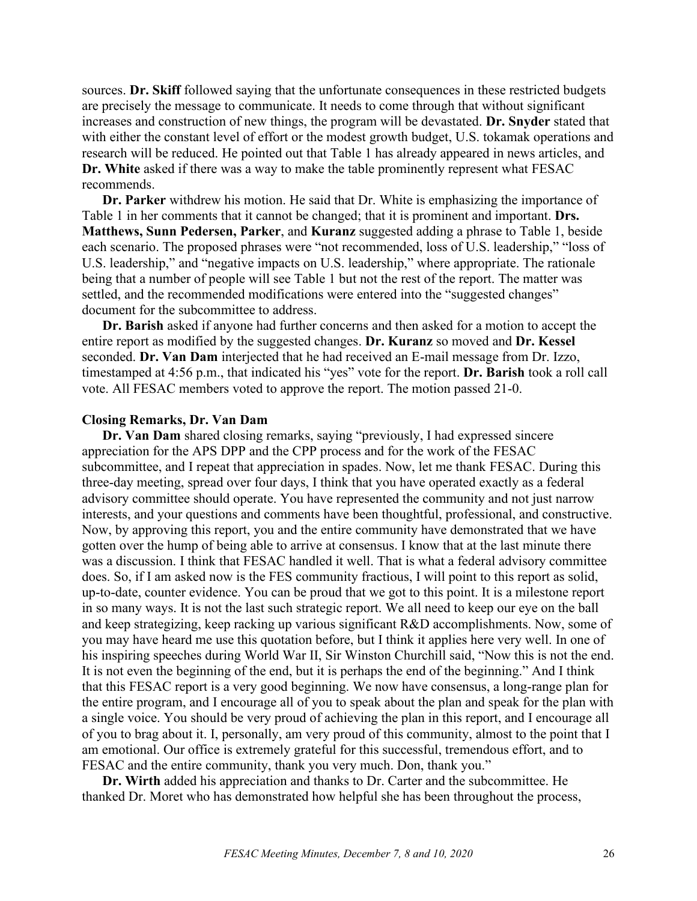sources. **Dr. Skiff** followed saying that the unfortunate consequences in these restricted budgets are precisely the message to communicate. It needs to come through that without significant increases and construction of new things, the program will be devastated. **Dr. Snyder** stated that with either the constant level of effort or the modest growth budget, U.S. tokamak operations and research will be reduced. He pointed out that Table 1 has already appeared in news articles, and **Dr. White** asked if there was a way to make the table prominently represent what FESAC recommends.

**Dr. Parker** withdrew his motion. He said that Dr. White is emphasizing the importance of Table 1 in her comments that it cannot be changed; that it is prominent and important. **Drs. Matthews, Sunn Pedersen, Parker**, and **Kuranz** suggested adding a phrase to Table 1, beside each scenario. The proposed phrases were "not recommended, loss of U.S. leadership," "loss of U.S. leadership," and "negative impacts on U.S. leadership," where appropriate. The rationale being that a number of people will see Table 1 but not the rest of the report. The matter was settled, and the recommended modifications were entered into the "suggested changes" document for the subcommittee to address.

**Dr. Barish** asked if anyone had further concerns and then asked for a motion to accept the entire report as modified by the suggested changes. **Dr. Kuranz** so moved and **Dr. Kessel** seconded. **Dr. Van Dam** interjected that he had received an E-mail message from Dr. Izzo, timestamped at 4:56 p.m., that indicated his "yes" vote for the report. **Dr. Barish** took a roll call vote. All FESAC members voted to approve the report. The motion passed 21-0.

#### **Closing Remarks, Dr. Van Dam**

**Dr. Van Dam** shared closing remarks, saying "previously, I had expressed sincere appreciation for the APS DPP and the CPP process and for the work of the FESAC subcommittee, and I repeat that appreciation in spades. Now, let me thank FESAC. During this three-day meeting, spread over four days, I think that you have operated exactly as a federal advisory committee should operate. You have represented the community and not just narrow interests, and your questions and comments have been thoughtful, professional, and constructive. Now, by approving this report, you and the entire community have demonstrated that we have gotten over the hump of being able to arrive at consensus. I know that at the last minute there was a discussion. I think that FESAC handled it well. That is what a federal advisory committee does. So, if I am asked now is the FES community fractious, I will point to this report as solid, up-to-date, counter evidence. You can be proud that we got to this point. It is a milestone report in so many ways. It is not the last such strategic report. We all need to keep our eye on the ball and keep strategizing, keep racking up various significant R&D accomplishments. Now, some of you may have heard me use this quotation before, but I think it applies here very well. In one of his inspiring speeches during World War II, Sir Winston Churchill said, "Now this is not the end. It is not even the beginning of the end, but it is perhaps the end of the beginning." And I think that this FESAC report is a very good beginning. We now have consensus, a long-range plan for the entire program, and I encourage all of you to speak about the plan and speak for the plan with a single voice. You should be very proud of achieving the plan in this report, and I encourage all of you to brag about it. I, personally, am very proud of this community, almost to the point that I am emotional. Our office is extremely grateful for this successful, tremendous effort, and to FESAC and the entire community, thank you very much. Don, thank you."

**Dr. Wirth** added his appreciation and thanks to Dr. Carter and the subcommittee. He thanked Dr. Moret who has demonstrated how helpful she has been throughout the process,